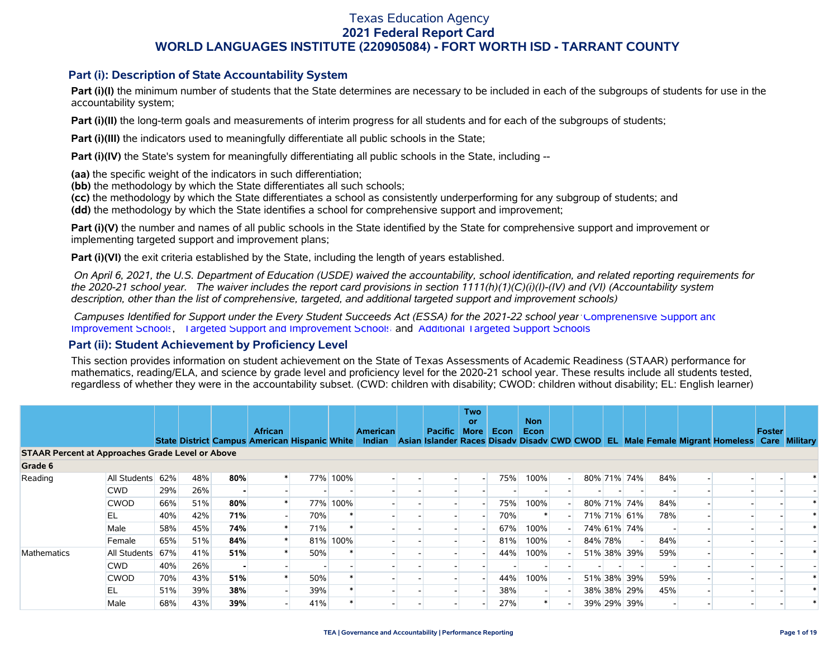### **Part (i): Description of State Accountability System**

**Part (i)(I)** the minimum number of students that the State determines are necessary to be included in each of the subgroups of students for use in the accountability system;

**Part (i)(II)** the long-term goals and measurements of interim progress for all students and for each of the subgroups of students;

**Part (i)(III)** the indicators used to meaningfully differentiate all public schools in the State;

**Part (i)(IV)** the State's system for meaningfully differentiating all public schools in the State, including --

**(aa)** the specific weight of the indicators in such differentiation;

**(bb)** the methodology by which the State differentiates all such schools;

**(cc)** the methodology by which the State differentiates a school as consistently underperforming for any subgroup of students; and

**(dd)** the methodology by which the State identifies a school for comprehensive support and improvement;

**Part (i)(V)** the number and names of all public schools in the State identified by the State for comprehensive support and improvement or implementing targeted support and improvement plans;

**Part (i)(VI)** the exit criteria established by the State, including the length of years established.

 *On April 6, 2021, the U.S. Department of Education (USDE) waived the accountability, school identification, and related reporting requirements for the 2020-21 school year. The waiver includes the report card provisions in section 1111(h)(1)(C)(i)(I)-(IV) and (VI) (Accountability system description, other than the list of comprehensive, targeted, and additional targeted support and improvement schools)* 

 *Campuses Identified for Support under the Every Student Succeeds Act (ESSA) for the 2021-22 school year:* [Comprehensive Support and](https://tea.texas.gov/sites/default/files/comprehensive_support_2021.xlsx) [Improvement Schools](https://tea.texas.gov/sites/default/files/comprehensive_support_2021.xlsx), [Targeted Support and Improvement Schools](https://tea.texas.gov/sites/default/files/targeted_support_2021.xlsx) and [Additional Targeted Support Schools.](https://tea.texas.gov/sites/default/files/additional_targeted_support_2021.xlsx)

### **Part (ii): Student Achievement by Proficiency Level**

This section provides information on student achievement on the State of Texas Assessments of Academic Readiness (STAAR) performance for mathematics, reading/ELA, and science by grade level and proficiency level for the 2020-21 school year. These results include all students tested, regardless of whether they were in the accountability subset. (CWD: children with disability; CWOD: children without disability; EL: English learner)

|                                                         |              |     |     |     |                |     |          |                                                                         |              | <b>Two</b><br>or         |      | <b>Non</b> |                          |         |             |     |                                                                             |        |               |
|---------------------------------------------------------|--------------|-----|-----|-----|----------------|-----|----------|-------------------------------------------------------------------------|--------------|--------------------------|------|------------|--------------------------|---------|-------------|-----|-----------------------------------------------------------------------------|--------|---------------|
|                                                         |              |     |     |     | <b>African</b> |     |          | <b>American</b><br>State District Campus American Hispanic White Indian | Pacific More |                          | Econ | Econ       |                          |         |             |     | Asian Islander Races Disady Disady CWD CWOD EL Male Female Migrant Homeless | Foster | Care Military |
| <b>STAAR Percent at Approaches Grade Level or Above</b> |              |     |     |     |                |     |          |                                                                         |              |                          |      |            |                          |         |             |     |                                                                             |        |               |
| Grade 6                                                 |              |     |     |     |                |     |          |                                                                         |              |                          |      |            |                          |         |             |     |                                                                             |        |               |
| Reading                                                 | All Students | 62% | 48% | 80% |                |     | 77% 100% |                                                                         |              | $\overline{\phantom{a}}$ | 75%  | 100%       | $\overline{\phantom{a}}$ |         | 80% 71% 74% | 84% |                                                                             |        |               |
|                                                         | <b>CWD</b>   | 29% | 26% |     |                |     |          |                                                                         |              |                          |      |            |                          |         |             |     |                                                                             |        |               |
|                                                         | <b>CWOD</b>  | 66% | 51% | 80% |                |     | 77% 100% |                                                                         |              |                          | 75%  | 100%       |                          |         | 80% 71% 74% | 84% |                                                                             |        |               |
|                                                         | EL           | 40% | 42% | 71% |                | 70% |          |                                                                         |              | -                        | 70%  |            |                          |         | 71% 71% 61% | 78% |                                                                             |        |               |
|                                                         | Male         | 58% | 45% | 74% |                | 71% |          |                                                                         |              |                          | 67%  | 100%       |                          |         | 74% 61% 74% |     |                                                                             |        |               |
|                                                         | Female       | 65% | 51% | 84% |                |     | 81% 100% |                                                                         |              | -                        | 81%  | 100%       |                          | 84% 78% |             | 84% |                                                                             |        |               |
| Mathematics                                             | All Students | 67% | 41% | 51% |                | 50% |          |                                                                         |              | -                        | 44%  | 100%       |                          |         | 51% 38% 39% | 59% |                                                                             |        |               |
|                                                         | <b>CWD</b>   | 40% | 26% |     |                |     |          |                                                                         |              |                          |      |            |                          |         |             |     |                                                                             |        |               |
|                                                         | <b>CWOD</b>  | 70% | 43% | 51% |                | 50% |          |                                                                         |              |                          | 44%  | 100%       |                          |         | 51% 38% 39% | 59% |                                                                             |        |               |
|                                                         | EL           | 51% | 39% | 38% |                | 39% |          |                                                                         |              |                          | 38%  |            |                          |         | 38% 38% 29% | 45% |                                                                             |        |               |
|                                                         | Male         | 68% | 43% | 39% |                | 41% |          |                                                                         |              | -                        | 27%  |            |                          |         | 39% 29% 39% |     |                                                                             |        |               |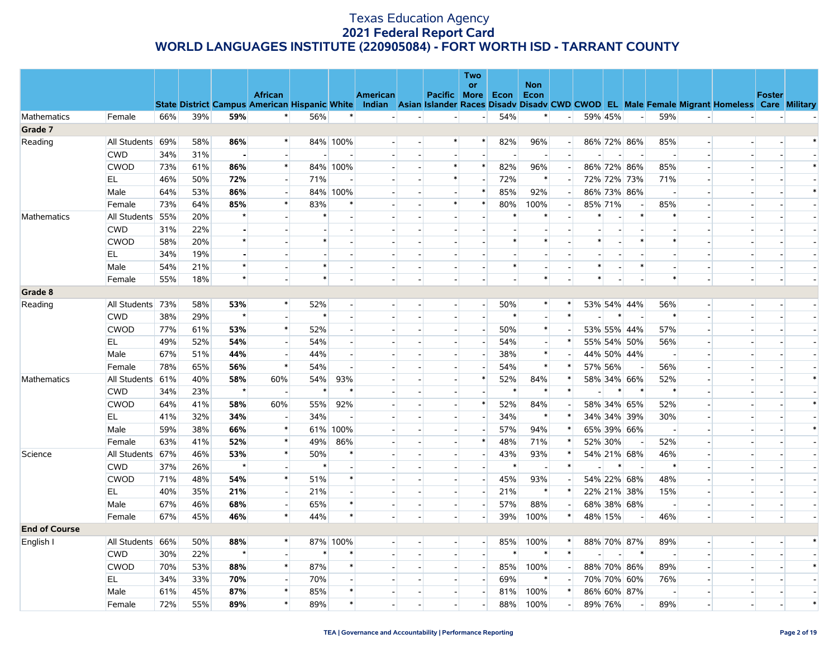|                      |                  |     |     |         |                                                                                                                                                |        |              |                 |                          |                          | Two                      |             |                          |                |        |         |                          |                          |                          |                |        |
|----------------------|------------------|-----|-----|---------|------------------------------------------------------------------------------------------------------------------------------------------------|--------|--------------|-----------------|--------------------------|--------------------------|--------------------------|-------------|--------------------------|----------------|--------|---------|--------------------------|--------------------------|--------------------------|----------------|--------|
|                      |                  |     |     |         | <b>African</b>                                                                                                                                 |        |              | <b>American</b> |                          | Pacific More             | or                       | <b>Econ</b> | <b>Non</b><br>Econ       |                |        |         |                          |                          |                          | <b>Foster</b>  |        |
|                      |                  |     |     |         | State District Campus American Hispanic White Indian Asian Islander Races Disadv Disadv CWD CWOD EL Male Female Migrant Homeless Care Military |        |              |                 |                          |                          |                          |             |                          |                |        |         |                          |                          |                          |                |        |
| Mathematics          | Female           | 66% | 39% | 59%     | $\ast$                                                                                                                                         | 56%    | $\ast$       |                 | $\overline{\phantom{a}}$ | $\overline{\phantom{a}}$ | $\overline{\phantom{a}}$ | 54%         | $\ast$                   | $\blacksquare$ |        | 59% 45% | $\overline{a}$           | 59%                      | $\Box$                   |                |        |
| Grade 7              |                  |     |     |         |                                                                                                                                                |        |              |                 |                          |                          |                          |             |                          |                |        |         |                          |                          |                          |                |        |
| Reading              | All Students 69% |     | 58% | 86%     | $\ast$                                                                                                                                         |        | 84% 100%     |                 |                          | $\ast$                   | $\ast$                   | 82%         | 96%                      | $\sim$         |        |         | 86% 72% 86%              | 85%                      | $\overline{\phantom{a}}$ |                |        |
|                      | <b>CWD</b>       | 34% | 31% |         |                                                                                                                                                |        |              |                 |                          |                          | $\blacksquare$           |             |                          | $\sim$         |        |         |                          |                          |                          |                |        |
|                      | <b>CWOD</b>      | 73% | 61% | 86%     | $\ast$                                                                                                                                         |        | 84% 100%     |                 |                          | $\ast$                   | $\ast$                   | 82%         | 96%                      |                |        |         | 86% 72% 86%              | 85%                      | $\mathbf{u}^{(1)}$       |                |        |
|                      | EL               | 46% | 50% | 72%     |                                                                                                                                                | 71%    |              |                 |                          | $\ast$                   | $\overline{\phantom{a}}$ | 72%         | $\ast$                   |                |        |         | 72% 72% 73%              | 71%                      |                          |                |        |
|                      | Male             | 64% | 53% | 86%     | $\overline{a}$                                                                                                                                 |        | 84% 100%     |                 |                          | $\overline{\phantom{a}}$ | $\ast$                   | 85%         | 92%                      | $\sim$         |        |         | 86% 73% 86%              | $\overline{\phantom{a}}$ |                          |                | $\ast$ |
|                      | Female           | 73% | 64% | 85%     | $\ast$                                                                                                                                         | 83%    | ∗            |                 |                          | $\ast$                   | $\ast$                   | 80%         | 100%                     |                |        | 85% 71% | $\overline{a}$           | 85%                      |                          |                |        |
| Mathematics          | All Students 55% |     | 20% |         |                                                                                                                                                | ∗      |              |                 |                          | $\overline{\phantom{a}}$ | $\overline{a}$           | ∗           |                          |                | ∗      |         | $\ast$                   | ∗                        |                          |                |        |
|                      | <b>CWD</b>       | 31% | 22% |         |                                                                                                                                                |        |              |                 |                          |                          |                          |             |                          |                |        |         |                          |                          |                          |                |        |
|                      | <b>CWOD</b>      | 58% | 20% |         |                                                                                                                                                |        |              |                 |                          | $\overline{\phantom{a}}$ |                          | $\ast$      |                          |                | $\ast$ |         | $\ast$                   |                          |                          |                |        |
|                      | EL               | 34% | 19% |         |                                                                                                                                                |        |              |                 |                          |                          |                          |             |                          |                |        |         |                          |                          |                          |                |        |
|                      | Male             | 54% | 21% |         |                                                                                                                                                |        |              |                 |                          | $\overline{\phantom{a}}$ | $\overline{\phantom{a}}$ | $\ast$      |                          |                | $\ast$ |         | $\ast$                   |                          | $\overline{\phantom{a}}$ |                |        |
|                      | Female           | 55% | 18% | $\star$ |                                                                                                                                                | $\ast$ |              |                 |                          |                          |                          |             | $\ast$                   |                | $\ast$ |         |                          | $\ast$                   | $\overline{a}$           |                |        |
| Grade 8              |                  |     |     |         |                                                                                                                                                |        |              |                 |                          |                          |                          |             |                          |                |        |         |                          |                          |                          |                |        |
| Reading              | All Students 73% |     | 58% | 53%     | $\ast$                                                                                                                                         | 52%    |              |                 |                          | $\sim$                   | $\blacksquare$           | 50%         | $\ast$                   | $\ast$         |        |         | 53% 54% 44%              | 56%                      | $\overline{a}$           |                |        |
|                      | <b>CWD</b>       | 38% | 29% | $\star$ |                                                                                                                                                | $\ast$ |              |                 |                          | $\overline{\phantom{a}}$ | $\overline{a}$           | $\ast$      |                          | $\ast$         |        | $\ast$  | $\overline{\phantom{a}}$ | $\ast$                   |                          |                |        |
|                      | <b>CWOD</b>      | 77% | 61% | 53%     | $\ast$                                                                                                                                         | 52%    |              |                 |                          | $\overline{\phantom{a}}$ | $\sim$                   | 50%         | $\ast$                   |                |        |         | 53% 55% 44%              | 57%                      | $\overline{a}$           |                |        |
|                      | EL               | 49% | 52% | 54%     |                                                                                                                                                | 54%    |              |                 |                          | $\blacksquare$           |                          | 54%         |                          | $\ast$         |        |         | 55% 54% 50%              | 56%                      |                          |                |        |
|                      | Male             | 67% | 51% | 44%     | $\overline{a}$                                                                                                                                 | 44%    |              |                 |                          | $\blacksquare$           | $\overline{\phantom{a}}$ | 38%         | $\ast$                   |                |        |         | 44% 50% 44%              |                          |                          |                |        |
|                      | Female           | 78% | 65% | 56%     | $\ast$                                                                                                                                         | 54%    |              |                 |                          | $\blacksquare$           |                          | 54%         | $\ast$                   | $\ast$         |        | 57% 56% | $\overline{\phantom{a}}$ | 56%                      |                          |                |        |
| Mathematics          | All Students 61% |     | 40% | 58%     | 60%                                                                                                                                            | 54%    | 93%          |                 |                          | $\sim$                   | $\ast$                   | 52%         | 84%                      |                |        |         | 58% 34% 66%              | 52%                      |                          |                | $\ast$ |
|                      | <b>CWD</b>       | 34% | 23% | $\star$ | $\overline{\phantom{a}}$                                                                                                                       | $\ast$ | $\ast$       |                 |                          | $\overline{\phantom{a}}$ | $\overline{a}$           | $\ast$      | $\ast$                   | $\ast$         |        | $\ast$  | $\ast$                   | $\ast$                   |                          |                |        |
|                      | <b>CWOD</b>      | 64% | 41% | 58%     | 60%                                                                                                                                            | 55%    | 92%          |                 |                          | $\blacksquare$           | $\ast$                   | 52%         | 84%                      |                |        |         | 58% 34% 65%              | 52%                      |                          |                |        |
|                      | EL               | 41% | 32% | 34%     | $\overline{\phantom{a}}$                                                                                                                       | 34%    |              |                 |                          | $\overline{\phantom{a}}$ | $\overline{a}$           | 34%         | $\ast$                   | $\ast$         |        |         | 34% 34% 39%              | 30%                      | $\overline{a}$           |                |        |
|                      | Male             | 59% | 38% | 66%     | $\ast$                                                                                                                                         | 61%    | 100%         |                 |                          | $\overline{\phantom{a}}$ | $\overline{\phantom{a}}$ | 57%         | 94%                      | $\ast$         |        |         | 65% 39% 66%              |                          |                          |                | $\ast$ |
|                      | Female           | 63% | 41% | 52%     | $\ast$                                                                                                                                         | 49%    | 86%          |                 |                          | $\sim$                   | $\ast$                   | 48%         | 71%                      | $\ast$         |        | 52% 30% | $\sim$                   | 52%                      |                          |                |        |
| Science              | All Students 67% |     | 46% | 53%     | $\ast$                                                                                                                                         | 50%    | $\ast$       |                 |                          | $\overline{\phantom{a}}$ | $\overline{a}$           | 43%         | 93%                      |                |        |         | 54% 21% 68%              | 46%                      |                          |                |        |
|                      | <b>CWD</b>       | 37% | 26% | $\star$ |                                                                                                                                                | $\ast$ |              |                 |                          | $\overline{\phantom{a}}$ | $\blacksquare$           | $\ast$      | $\overline{\phantom{a}}$ | $\ast$         |        | *       | $\sim$                   | $\ast$                   |                          |                |        |
|                      | <b>CWOD</b>      | 71% | 48% | 54%     | $\ast$                                                                                                                                         | 51%    | $\ast$       |                 |                          | $\overline{a}$           | $\sim$                   | 45%         | 93%                      |                |        |         | 54% 22% 68%              | 48%                      |                          |                |        |
|                      | EL               | 40% | 35% | 21%     | $\overline{\phantom{a}}$                                                                                                                       | 21%    |              |                 |                          | $\overline{a}$           | $\overline{\phantom{a}}$ | 21%         | $\ast$                   | $\ast$         |        |         | 22% 21% 38%              | 15%                      |                          |                |        |
|                      | Male             | 67% | 46% | 68%     |                                                                                                                                                | 65%    | $\ast$       |                 |                          | $\overline{\phantom{a}}$ | $\overline{a}$           | 57%         | 88%                      |                |        |         | 68% 38% 68%              |                          |                          |                |        |
|                      | Female           | 67% | 45% | 46%     | $\ast$                                                                                                                                         | 44%    | $\ast$       |                 |                          | $\overline{a}$           | $\blacksquare$           | 39%         | 100%                     | $\ast$         |        | 48% 15% |                          | 46%                      | $\overline{\phantom{a}}$ | $\blacksquare$ |        |
| <b>End of Course</b> |                  |     |     |         |                                                                                                                                                |        |              |                 |                          |                          |                          |             |                          |                |        |         |                          |                          |                          |                |        |
| English I            | All Students 66% |     | 50% | 88%     | $\ast$                                                                                                                                         |        | 87% 100%     |                 |                          | $\blacksquare$           | $\overline{\phantom{a}}$ | 85%         | 100%                     |                |        |         | 88% 70% 87%              | 89%                      | $\overline{\phantom{a}}$ |                |        |
|                      | <b>CWD</b>       | 30% | 22% | $\star$ |                                                                                                                                                |        | $\ast$       |                 |                          | $\overline{a}$           | $\overline{a}$           | $\ast$      | $\ast$                   | $\ast$         |        |         | $\ast$                   | $\sim$                   | $\overline{a}$           |                |        |
|                      | <b>CWOD</b>      | 70% | 53% | 88%     | $\ast$                                                                                                                                         | 87%    | $\ast$       |                 |                          | $\overline{\phantom{a}}$ | $\overline{\phantom{a}}$ | 85%         | 100%                     |                |        |         | 88% 70% 86%              | 89%                      |                          |                | $\ast$ |
|                      | EL               | 34% | 33% | 70%     | $\overline{\phantom{a}}$                                                                                                                       | 70%    |              |                 |                          | $\overline{a}$           | $\overline{a}$           | 69%         | $\ast$                   |                |        |         | 70% 70% 60%              | 76%                      |                          |                |        |
|                      | Male             | 61% | 45% | 87%     | $\ast$                                                                                                                                         | 85%    | $\pmb{\ast}$ |                 |                          | $\blacksquare$           | $\overline{\phantom{a}}$ | 81%         | 100%                     |                |        |         | 86% 60% 87%              |                          |                          |                |        |
|                      | Female           | 72% | 55% | 89%     | $\ast$                                                                                                                                         | 89%    | $\ast$       |                 |                          | $\overline{\phantom{a}}$ | $\overline{a}$           | 88%         | 100%                     |                |        | 89% 76% | $\overline{a}$           | 89%                      |                          |                | $\ast$ |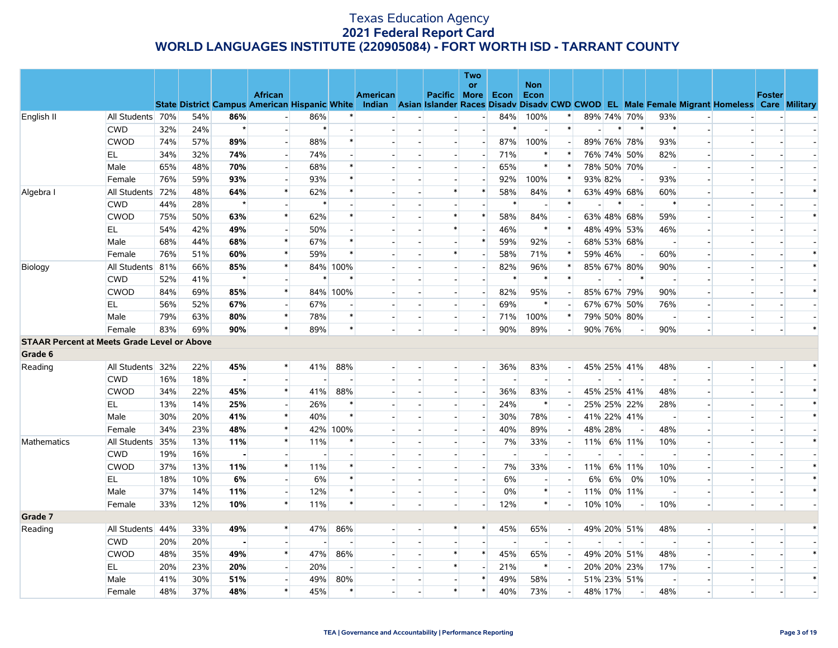|                                                    |                  |     |     |                |                |        |          |                 |                          | Two                      |        |                    |                          |         |         |                          |                          |                          |                                                                                                                                                |               |        |
|----------------------------------------------------|------------------|-----|-----|----------------|----------------|--------|----------|-----------------|--------------------------|--------------------------|--------|--------------------|--------------------------|---------|---------|--------------------------|--------------------------|--------------------------|------------------------------------------------------------------------------------------------------------------------------------------------|---------------|--------|
|                                                    |                  |     |     |                | <b>African</b> |        |          | <b>American</b> | Pacific More             | or                       | Econ   | <b>Non</b><br>Econ |                          |         |         |                          |                          |                          |                                                                                                                                                | <b>Foster</b> |        |
|                                                    |                  |     |     |                |                |        |          |                 |                          |                          |        |                    |                          |         |         |                          |                          |                          | State District Campus American Hispanic White Indian Asian Islander Races Disady Disady CWD CWOD EL Male Female Migrant Homeless Care Military |               |        |
| English II                                         | All Students 70% |     | 54% | 86%            |                | 86%    |          |                 |                          | $\blacksquare$           | 84%    | 100%               | $\ast$                   |         |         | 89% 74% 70%              | 93%                      |                          |                                                                                                                                                |               |        |
|                                                    | <b>CWD</b>       | 32% | 24% | $\star$        |                | $\ast$ |          |                 |                          | $\overline{a}$           | $\ast$ |                    | $\ast$                   |         | $\ast$  | $\ast$                   | $\ast$                   | $\overline{a}$           |                                                                                                                                                |               |        |
|                                                    | <b>CWOD</b>      | 74% | 57% | 89%            |                | 88%    |          |                 |                          |                          | 87%    | 100%               |                          |         |         | 89% 76% 78%              | 93%                      |                          |                                                                                                                                                |               |        |
|                                                    | EL               | 34% | 32% | 74%            |                | 74%    |          |                 | $\overline{a}$           | $\blacksquare$           | 71%    | $\ast$             |                          |         |         | 76% 74% 50%              | 82%                      |                          |                                                                                                                                                |               |        |
|                                                    | Male             | 65% | 48% | 70%            |                | 68%    |          |                 |                          |                          | 65%    | $\ast$             | $\ast$                   |         |         | 78% 50% 70%              |                          |                          |                                                                                                                                                |               |        |
|                                                    | Female           | 76% | 59% | 93%            |                | 93%    |          |                 |                          |                          | 92%    | 100%               | $\ast$                   | 93% 82% |         |                          | 93%                      |                          |                                                                                                                                                |               |        |
| Algebra I                                          | All Students 72% |     | 48% | 64%            | $\ast$         | 62%    |          |                 | $\ast$                   | $\ast$                   | 58%    | 84%                | ∗                        |         |         | 63% 49% 68%              | 60%                      |                          |                                                                                                                                                |               | $\ast$ |
|                                                    | <b>CWD</b>       | 44% | 28% | $\star$        |                | $\ast$ |          |                 |                          |                          |        |                    | $\ast$                   |         | ∗       |                          | $\ast$                   |                          |                                                                                                                                                |               |        |
|                                                    | <b>CWOD</b>      | 75% | 50% | 63%            | $\ast$         | 62%    |          |                 | $\ast$                   | $\ast$                   | 58%    | 84%                |                          |         |         | 63% 48% 68%              | 59%                      | $\overline{\phantom{a}}$ |                                                                                                                                                |               | $\ast$ |
|                                                    | EL.              | 54% | 42% | 49%            |                | 50%    |          |                 | $\ast$                   |                          | 46%    | $\ast$             | $\ast$                   |         |         | 48% 49% 53%              | 46%                      |                          |                                                                                                                                                |               |        |
|                                                    | Male             | 68% | 44% | 68%            | $\ast$         | 67%    |          |                 | $\overline{a}$           | $\ast$                   | 59%    | 92%                |                          |         |         | 68% 53% 68%              |                          |                          |                                                                                                                                                |               |        |
|                                                    | Female           | 76% | 51% | 60%            | $\ast$         | 59%    |          |                 | $\ast$                   |                          | 58%    | 71%                | $\ast$                   | 59% 46% |         |                          | 60%                      |                          |                                                                                                                                                |               | $\ast$ |
| Biology                                            | All Students 81% |     | 66% | 85%            | $\ast$         |        | 84% 100% |                 | $\overline{a}$           | $\blacksquare$           | 82%    | 96%                | $\ast$                   |         |         | 85% 67% 80%              | 90%                      | $\overline{\phantom{a}}$ |                                                                                                                                                |               | $\ast$ |
|                                                    | <b>CWD</b>       | 52% | 41% | $\star$        |                | $\ast$ |          |                 |                          |                          |        | $\ast$             | $\ast$                   |         |         | $\ast$                   |                          |                          |                                                                                                                                                |               |        |
|                                                    | <b>CWOD</b>      | 84% | 69% | 85%            | $\ast$         |        | 84% 100% |                 | $\sim$                   | $\overline{\phantom{a}}$ | 82%    | 95%                | $\overline{\phantom{a}}$ |         |         | 85% 67% 79%              | 90%                      | $\overline{\phantom{a}}$ |                                                                                                                                                |               | $\ast$ |
|                                                    | EL               | 56% | 52% | 67%            |                | 67%    |          |                 |                          | $\blacksquare$           | 69%    | $\ast$             |                          |         |         | 67% 67% 50%              | 76%                      |                          |                                                                                                                                                |               |        |
|                                                    | Male             | 79% | 63% | 80%            | $\ast$         | 78%    | $\ast$   |                 | $\overline{a}$           | $\sim$                   | 71%    | 100%               | $\ast$                   |         |         | 79% 50% 80%              | $\overline{\phantom{a}}$ | $\overline{a}$           |                                                                                                                                                |               |        |
|                                                    | Female           | 83% | 69% | 90%            | $\ast$         | 89%    | $\ast$   |                 |                          |                          | 90%    | 89%                |                          |         | 90% 76% |                          | 90%                      |                          |                                                                                                                                                |               | $\ast$ |
| <b>STAAR Percent at Meets Grade Level or Above</b> |                  |     |     |                |                |        |          |                 |                          |                          |        |                    |                          |         |         |                          |                          |                          |                                                                                                                                                |               |        |
| Grade 6                                            |                  |     |     |                |                |        |          |                 |                          |                          |        |                    |                          |         |         |                          |                          |                          |                                                                                                                                                |               |        |
| Reading                                            | All Students 32% |     | 22% | 45%            | $\ast$         | 41%    | 88%      |                 |                          | $\blacksquare$           | 36%    | 83%                | $\sim$                   |         |         | 45% 25% 41%              | 48%                      | $\overline{\phantom{a}}$ |                                                                                                                                                |               |        |
|                                                    | <b>CWD</b>       | 16% | 18% | $\blacksquare$ |                |        |          |                 |                          |                          |        |                    |                          |         |         |                          |                          |                          |                                                                                                                                                |               |        |
|                                                    | <b>CWOD</b>      | 34% | 22% | 45%            | $\ast$         | 41%    | 88%      |                 | $\overline{a}$           | $\overline{a}$           | 36%    | 83%                |                          |         |         | 45% 25% 41%              | 48%                      | $\overline{a}$           |                                                                                                                                                |               | $\ast$ |
|                                                    | EL               | 13% | 14% | 25%            |                | 26%    |          |                 |                          | $\overline{\phantom{a}}$ | 24%    | $\ast$             |                          |         |         | 25% 25% 22%              | 28%                      |                          |                                                                                                                                                |               | $\ast$ |
|                                                    | Male             | 30% | 20% | 41%            | $\ast$         | 40%    | $\ast$   |                 | $\sim$                   | $\overline{a}$           | 30%    | 78%                | $\blacksquare$           |         |         | 41% 22% 41%              | $\overline{\phantom{a}}$ | $\overline{a}$           |                                                                                                                                                |               | $\ast$ |
|                                                    | Female           | 34% | 23% | 48%            | $\ast$         |        | 42% 100% |                 |                          |                          | 40%    | 89%                | $\sim$                   | 48% 28% |         | $\overline{\phantom{a}}$ | 48%                      |                          |                                                                                                                                                |               |        |
| Mathematics                                        | All Students 35% |     | 13% | 11%            | $\ast$         | 11%    |          |                 |                          |                          | 7%     | 33%                |                          |         |         | 11% 6% 11%               | 10%                      |                          |                                                                                                                                                |               | $\ast$ |
|                                                    | <b>CWD</b>       | 19% | 16% |                |                |        |          |                 |                          |                          |        |                    |                          |         |         |                          |                          |                          |                                                                                                                                                |               |        |
|                                                    | <b>CWOD</b>      | 37% | 13% | 11%            | $\ast$         | 11%    |          |                 |                          | $\blacksquare$           | 7%     | 33%                |                          | 11%     |         | 6% 11%                   | 10%                      |                          |                                                                                                                                                |               | $\ast$ |
|                                                    | EL               | 18% | 10% | 6%             |                | 6%     |          |                 |                          |                          | 6%     |                    |                          | 6%      | 6%      | 0%                       | 10%                      |                          |                                                                                                                                                |               | $\ast$ |
|                                                    | Male             | 37% | 14% | 11%            |                | 12%    |          |                 | $\sim$                   | $\overline{a}$           | 0%     | $\ast$             |                          | 11%     |         | 0% 11%                   |                          | $\overline{a}$           |                                                                                                                                                |               | $\ast$ |
|                                                    | Female           | 33% | 12% | 10%            | $\ast$         | 11%    |          |                 |                          | $\blacksquare$           | 12%    | $\ast$             |                          |         | 10% 10% | $\sim$                   | 10%                      | $\overline{\phantom{a}}$ | $\blacksquare$                                                                                                                                 |               |        |
| Grade 7                                            |                  |     |     |                |                |        |          |                 |                          |                          |        |                    |                          |         |         |                          |                          |                          |                                                                                                                                                |               |        |
| Reading                                            | All Students 44% |     | 33% | 49%            | $\ast$         | 47%    | 86%      |                 | $\ast$                   | $\ast$                   | 45%    | 65%                | $\overline{\phantom{a}}$ |         |         | 49% 20% 51%              | 48%                      | $\overline{\phantom{a}}$ |                                                                                                                                                |               | $\ast$ |
|                                                    | <b>CWD</b>       | 20% | 20% | $\blacksquare$ |                |        |          |                 |                          |                          |        |                    |                          |         |         |                          |                          |                          |                                                                                                                                                |               |        |
|                                                    | <b>CWOD</b>      | 48% | 35% | 49%            | $\ast$         | 47%    | 86%      |                 | $\ast$                   | $\ast$                   | 45%    | 65%                | $\overline{\phantom{a}}$ |         |         | 49% 20% 51%              | 48%                      | $\overline{\phantom{a}}$ |                                                                                                                                                |               | $\ast$ |
|                                                    | EL               | 20% | 23% | 20%            |                | 20%    |          |                 | $\ast$                   |                          | 21%    | $\ast$             |                          |         |         | 20% 20% 23%              | 17%                      |                          |                                                                                                                                                |               |        |
|                                                    | Male             | 41% | 30% | 51%            |                | 49%    | 80%      |                 | $\overline{\phantom{a}}$ | $\ast$                   | 49%    | 58%                |                          |         |         | 51% 23% 51%              |                          |                          |                                                                                                                                                |               | $\ast$ |
|                                                    | Female           | 48% | 37% | 48%            | $\ast$         | 45%    | $\ast$   |                 | $\ast$                   | $\ast$                   | 40%    | 73%                |                          |         | 48% 17% | $\overline{\phantom{a}}$ | 48%                      |                          |                                                                                                                                                |               |        |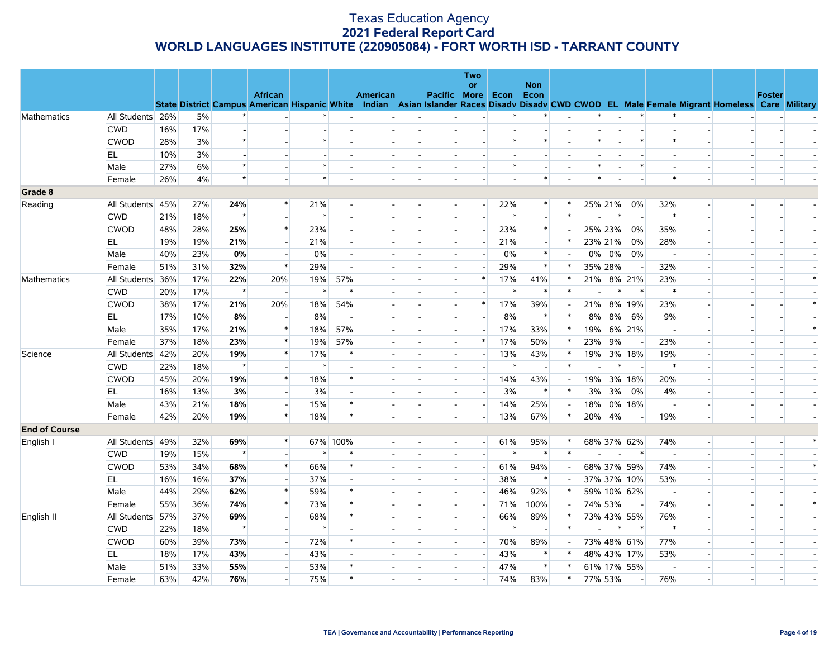|                      |                  |     |     |         |                                                                                                                                                |        |                          |                 |                          |                          | <b>Two</b>               |        |                    |        |         |         |                          |                          |                          |               |        |
|----------------------|------------------|-----|-----|---------|------------------------------------------------------------------------------------------------------------------------------------------------|--------|--------------------------|-----------------|--------------------------|--------------------------|--------------------------|--------|--------------------|--------|---------|---------|--------------------------|--------------------------|--------------------------|---------------|--------|
|                      |                  |     |     |         | <b>African</b>                                                                                                                                 |        |                          | <b>American</b> |                          | Pacific More Econ        | <b>or</b>                |        | <b>Non</b><br>Econ |        |         |         |                          |                          |                          | <b>Foster</b> |        |
|                      |                  |     |     |         | State District Campus American Hispanic White Indian Asian Islander Races Disady Disady CWD CWOD EL Male Female Migrant Homeless Care Military |        |                          |                 |                          |                          |                          |        |                    |        |         |         |                          |                          |                          |               |        |
| Mathematics          | All Students 26% |     | 5%  |         |                                                                                                                                                |        |                          |                 |                          |                          |                          |        |                    |        |         |         |                          |                          |                          |               |        |
|                      | <b>CWD</b>       | 16% | 17% |         |                                                                                                                                                |        |                          |                 |                          |                          |                          |        |                    |        |         |         |                          |                          |                          |               |        |
|                      | <b>CWOD</b>      | 28% | 3%  | $\star$ |                                                                                                                                                | $\ast$ |                          |                 |                          |                          |                          | $\ast$ | $\ast$             |        | $\ast$  |         | $\ast$                   | $\ast$                   |                          |               |        |
|                      | EL               | 10% | 3%  |         |                                                                                                                                                |        |                          |                 |                          |                          |                          |        |                    |        |         |         |                          |                          |                          |               |        |
|                      | Male             | 27% | 6%  | $\star$ |                                                                                                                                                | $\ast$ |                          |                 |                          |                          |                          | $\ast$ |                    |        | $\ast$  |         | $\ast$                   |                          |                          |               |        |
|                      | Female           | 26% | 4%  | $\star$ |                                                                                                                                                | $\ast$ |                          |                 |                          |                          |                          |        | $\ast$             |        | $\ast$  |         |                          | $\ast$                   |                          |               |        |
| Grade 8              |                  |     |     |         |                                                                                                                                                |        |                          |                 |                          |                          |                          |        |                    |        |         |         |                          |                          |                          |               |        |
| Reading              | All Students 45% |     | 27% | 24%     |                                                                                                                                                | 21%    |                          |                 |                          |                          | $\overline{\phantom{a}}$ | 22%    | $\ast$             |        |         | 25% 21% | 0%                       | 32%                      |                          |               |        |
|                      | <b>CWD</b>       | 21% | 18% | $\star$ |                                                                                                                                                | $\ast$ |                          |                 |                          |                          | $\overline{a}$           | $\ast$ |                    | $\ast$ |         | $\ast$  | $\sim$                   | $\ast$                   |                          |               |        |
|                      | <b>CWOD</b>      | 48% | 28% | 25%     | $\ast$                                                                                                                                         | 23%    |                          |                 |                          |                          | $\overline{\phantom{a}}$ | 23%    | $*$                |        |         | 25% 23% | 0%                       | 35%                      |                          |               |        |
|                      | EL.              | 19% | 19% | 21%     |                                                                                                                                                | 21%    |                          |                 |                          |                          |                          | 21%    |                    |        |         | 23% 21% | 0%                       | 28%                      |                          |               |        |
|                      | Male             | 40% | 23% | $0\%$   |                                                                                                                                                | $0\%$  |                          |                 |                          | $\blacksquare$           |                          | 0%     | $\ast$             |        |         | 0% 0%   | 0%                       | $\overline{a}$           |                          |               |        |
|                      | Female           | 51% | 31% | 32%     | $\ast$                                                                                                                                         | 29%    |                          |                 |                          |                          |                          | 29%    | $\ast$             |        | 35% 28% |         | $\overline{\phantom{a}}$ | 32%                      |                          |               |        |
| Mathematics          | All Students 36% |     | 17% | 22%     | 20%                                                                                                                                            | 19%    | 57%                      |                 |                          | $\overline{\phantom{a}}$ | $\ast$                   | 17%    | 41%                |        |         |         | 21% 8% 21%               | 23%                      |                          |               | $\ast$ |
|                      | <b>CWD</b>       | 20% | 17% | $\star$ | $\blacksquare$                                                                                                                                 | $\ast$ | $\ast$                   |                 |                          | $\blacksquare$           |                          | $\ast$ | $\ast$             |        |         | $\ast$  | $\ast$                   | $\ast$                   |                          |               |        |
|                      | <b>CWOD</b>      | 38% | 17% | 21%     | 20%                                                                                                                                            | 18%    | 54%                      |                 |                          |                          | $\ast$                   | 17%    | 39%                |        | 21%     |         | 8% 19%                   | 23%                      |                          |               | $\ast$ |
|                      | EL               | 17% | 10% | 8%      |                                                                                                                                                | 8%     | $\overline{\phantom{a}}$ |                 |                          | $\overline{\phantom{a}}$ | $\overline{\phantom{a}}$ | 8%     | $\ast$             | $\ast$ | 8%      | 8%      | 6%                       | 9%                       |                          |               |        |
|                      | Male             | 35% | 17% | 21%     | $\ast$                                                                                                                                         | 18%    | 57%                      |                 |                          |                          |                          | 17%    | 33%                |        | 19%     |         | 6% 21%                   |                          |                          |               | $\ast$ |
|                      | Female           | 37% | 18% | 23%     | $\ast$                                                                                                                                         | 19%    | 57%                      |                 |                          | $\overline{a}$           | $\ast$                   | 17%    | 50%                | $\ast$ | 23%     | 9%      | $\sim$                   | 23%                      |                          |               |        |
| Science              | All Students 42% |     | 20% | 19%     | $\ast$                                                                                                                                         | 17%    | $\ast$                   |                 |                          | $\blacksquare$           | $\overline{\phantom{a}}$ | 13%    | 43%                |        | 19%     |         | 3% 18%                   | 19%                      | $\overline{\phantom{a}}$ |               |        |
|                      | <b>CWD</b>       | 22% | 18% | $\star$ |                                                                                                                                                | $\ast$ |                          |                 |                          |                          |                          | $\ast$ |                    | $\ast$ |         | $\ast$  | $\overline{\phantom{a}}$ | $\ast$                   |                          |               |        |
|                      | <b>CWOD</b>      | 45% | 20% | 19%     | $\ast$                                                                                                                                         | 18%    | $\ast$                   |                 |                          | $\blacksquare$           | $\blacksquare$           | 14%    | 43%                |        | 19%     |         | 3% 18%                   | 20%                      |                          |               |        |
|                      | EL               | 16% | 13% | 3%      |                                                                                                                                                | 3%     |                          |                 |                          | $\overline{\phantom{a}}$ |                          | 3%     | $\ast$             | $\ast$ | 3%      | 3%      | 0%                       | 4%                       |                          |               |        |
|                      | Male             | 43% | 21% | 18%     | $\overline{\phantom{a}}$                                                                                                                       | 15%    | $\ast$                   |                 |                          | $\overline{a}$           |                          | 14%    | 25%                |        | 18%     |         | 0% 18%                   |                          |                          |               |        |
|                      | Female           | 42% | 20% | 19%     | $\ast$                                                                                                                                         | 18%    | $\ast$                   |                 | $\overline{\phantom{a}}$ | $\overline{\phantom{a}}$ | $\blacksquare$           | 13%    | 67%                | $\ast$ | 20%     | 4%      | $\overline{\phantom{a}}$ | 19%                      | $\overline{\phantom{a}}$ |               |        |
| <b>End of Course</b> |                  |     |     |         |                                                                                                                                                |        |                          |                 |                          |                          |                          |        |                    |        |         |         |                          |                          |                          |               |        |
| English I            | All Students 49% |     | 32% | 69%     | $\ast$                                                                                                                                         |        | 67% 100%                 |                 |                          | $\overline{\phantom{a}}$ | $\overline{a}$           | 61%    | 95%                | *      |         |         | 68% 37% 62%              | 74%                      | $\overline{\phantom{a}}$ |               | $\ast$ |
|                      | <b>CWD</b>       | 19% | 15% | $\star$ |                                                                                                                                                | $\ast$ | $\ast$                   |                 |                          |                          |                          | $\ast$ | $\ast$             | $\ast$ |         |         | $\ast$                   |                          |                          |               |        |
|                      | <b>CWOD</b>      | 53% | 34% | 68%     | $\ast$                                                                                                                                         | 66%    | $\ast$                   |                 |                          | $\overline{a}$           | $\mathbf{u}^{(1)}$       | 61%    | 94%                |        |         |         | 68% 37% 59%              | 74%                      |                          |               | $\ast$ |
|                      | EL               | 16% | 16% | 37%     |                                                                                                                                                | 37%    |                          |                 |                          | $\overline{a}$           |                          | 38%    | $\ast$             |        |         |         | 37% 37% 10%              | 53%                      |                          |               |        |
|                      | Male             | 44% | 29% | 62%     | $\ast$                                                                                                                                         | 59%    |                          |                 |                          |                          | $\blacksquare$           | 46%    | 92%                | $\ast$ |         |         | 59% 10% 62%              |                          |                          |               |        |
|                      | Female           | 55% | 36% | 74%     | $\ast$                                                                                                                                         | 73%    | $\ast$                   |                 |                          | $\blacksquare$           | $\blacksquare$           | 71%    | 100%               |        | 74% 53% |         | $\sim$                   | 74%                      |                          |               | $\ast$ |
| English II           | All Students 57% |     | 37% | 69%     |                                                                                                                                                | 68%    | $\ast$                   |                 |                          |                          |                          | 66%    | 89%                |        |         |         | 73% 43% 55%              | 76%                      |                          |               |        |
|                      | <b>CWD</b>       | 22% | 18% | $\star$ |                                                                                                                                                | $\ast$ |                          |                 |                          | $\overline{a}$           | $\overline{a}$           | $\ast$ | $\overline{a}$     | $\ast$ |         | $\ast$  | $\ast$                   | $\ast$                   |                          |               |        |
|                      | <b>CWOD</b>      | 60% | 39% | 73%     |                                                                                                                                                | 72%    |                          |                 |                          |                          | $\overline{\phantom{a}}$ | 70%    | 89%                |        |         |         | 73% 48% 61%              | 77%                      |                          |               |        |
|                      | EL               | 18% | 17% | 43%     |                                                                                                                                                | 43%    |                          |                 |                          |                          |                          | 43%    | $\ast$             |        |         |         | 48% 43% 17%              | 53%                      |                          |               |        |
|                      | Male             | 51% | 33% | 55%     |                                                                                                                                                | 53%    | $\ast$                   |                 |                          | $\sim$                   | $\overline{\phantom{a}}$ | 47%    | $\ast$             |        |         |         | 61% 17% 55%              | $\overline{\phantom{a}}$ |                          |               |        |
|                      | Female           | 63% | 42% | 76%     |                                                                                                                                                | 75%    | $\ast$                   |                 |                          |                          |                          | 74%    | 83%                | $\ast$ | 77% 53% |         | $\overline{\phantom{a}}$ | 76%                      |                          |               |        |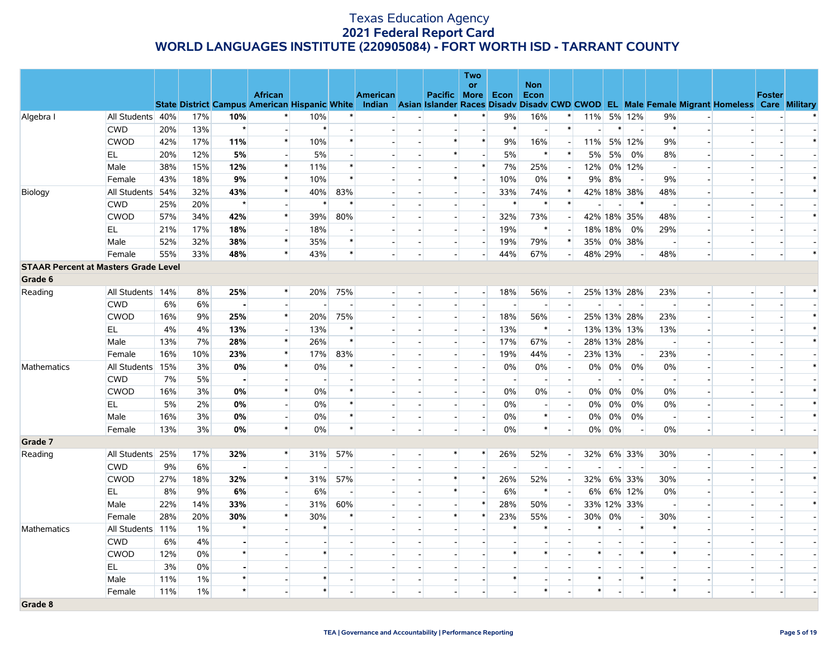|                                             |                  |     |       |                |                          |                          |        |                 |                          |                          | <b>Two</b>                |        |                          |                          |                |          |                          |                          |                          |                                                                                                                                                |                |        |
|---------------------------------------------|------------------|-----|-------|----------------|--------------------------|--------------------------|--------|-----------------|--------------------------|--------------------------|---------------------------|--------|--------------------------|--------------------------|----------------|----------|--------------------------|--------------------------|--------------------------|------------------------------------------------------------------------------------------------------------------------------------------------|----------------|--------|
|                                             |                  |     |       |                | <b>African</b>           |                          |        | <b>American</b> |                          | Pacific More             | or                        | Econ   | <b>Non</b><br>Econ       |                          |                |          |                          |                          |                          |                                                                                                                                                | <b>Foster</b>  |        |
|                                             |                  |     |       |                |                          |                          |        |                 |                          |                          |                           |        |                          |                          |                |          |                          |                          |                          | State District Campus American Hispanic White Indian Asian Islander Races Disadv Disadv CWD CWOD EL Male Female Migrant Homeless Care Military |                |        |
| Algebra I                                   | All Students 40% |     | 17%   | 10%            | $\ast$                   | 10%                      |        |                 | $\overline{\phantom{a}}$ | $\ast$                   | $\ast$                    | 9%     | 16%                      | $\ast$                   | 11%            |          | 5% 12%                   | 9%                       | $\overline{\phantom{a}}$ |                                                                                                                                                |                |        |
|                                             | <b>CWD</b>       | 20% | 13%   | $\star$        | $\overline{a}$           | $\ast$                   |        |                 |                          | $\overline{\phantom{a}}$ | $\overline{\phantom{a}}$  | $\ast$ | $\overline{\phantom{a}}$ | $\ast$                   | $\overline{a}$ | $\ast$   | $\overline{a}$           | $\ast$                   | $\overline{a}$           |                                                                                                                                                |                |        |
|                                             | <b>CWOD</b>      | 42% | 17%   | 11%            | $\ast$                   | 10%                      | $\ast$ |                 |                          | $\ast$                   | $\ast$                    | 9%     | 16%                      | $\sim$                   |                |          | 11% 5% 12%               | 9%                       |                          |                                                                                                                                                |                | $\ast$ |
|                                             | EL.              | 20% | 12%   | 5%             | $\overline{\phantom{a}}$ | 5%                       |        |                 |                          | $\ast$                   | $\overline{\phantom{a}}$  | 5%     | $\ast$                   | $\ast$                   | 5%             | 5%       | 0%                       | 8%                       |                          |                                                                                                                                                |                |        |
|                                             | Male             | 38% | 15%   | 12%            | $\ast$                   | 11%                      | $\ast$ |                 |                          |                          | $\ast$                    | 7%     | 25%                      |                          | 12%            |          | 0% 12%                   |                          |                          |                                                                                                                                                |                |        |
|                                             | Female           | 43% | 18%   | 9%             | $\ast$                   | 10%                      |        |                 |                          | $\ast$                   | $\overline{\phantom{a}}$  | 10%    | 0%                       | $\ast$                   | 9%             | 8%       | $\overline{\phantom{a}}$ | 9%                       |                          |                                                                                                                                                |                | $\ast$ |
| Biology                                     | All Students 54% |     | 32%   | 43%            | $\ast$                   | 40%                      | 83%    |                 |                          |                          | $\overline{\phantom{a}}$  | 33%    | 74%                      | $\ast$                   |                |          | 42% 18% 38%              | 48%                      |                          |                                                                                                                                                |                | $\ast$ |
|                                             | <b>CWD</b>       | 25% | 20%   | $\star$        |                          | $\ast$                   |        |                 |                          | $\overline{\phantom{a}}$ | $\overline{\phantom{a}}$  | $\ast$ | $\ast$                   | $\ast$                   |                |          | $\ast$                   |                          | $\overline{\phantom{a}}$ |                                                                                                                                                |                |        |
|                                             | <b>CWOD</b>      | 57% | 34%   | 42%            | $\ast$                   | 39%                      | 80%    |                 |                          | $\overline{\phantom{a}}$ | $\sim$                    | 32%    | 73%                      | $\overline{\phantom{a}}$ |                |          | 42% 18% 35%              | 48%                      |                          |                                                                                                                                                |                | $\ast$ |
|                                             | EL               | 21% | 17%   | 18%            | $\blacksquare$           | 18%                      |        |                 |                          | $\overline{a}$           | $\overline{a}$            | 19%    | $\ast$                   |                          | 18% 18%        |          | 0%                       | 29%                      | $\overline{\phantom{a}}$ |                                                                                                                                                |                |        |
|                                             | Male             | 52% | 32%   | 38%            | $\ast$                   | 35%                      | $\ast$ |                 |                          | $\overline{a}$           | $\sim$                    | 19%    | 79%                      | $\ast$                   |                |          | 35% 0% 38%               | $\overline{\phantom{a}}$ | $\overline{a}$           |                                                                                                                                                |                |        |
|                                             | Female           | 55% | 33%   | 48%            | $\ast$                   | 43%                      | $\ast$ |                 |                          | $\overline{\phantom{a}}$ | $\overline{\phantom{a}}$  | 44%    | 67%                      | $\overline{a}$           | 48% 29%        |          | н.                       | 48%                      | $\blacksquare$           |                                                                                                                                                |                | $\ast$ |
| <b>STAAR Percent at Masters Grade Level</b> |                  |     |       |                |                          |                          |        |                 |                          |                          |                           |        |                          |                          |                |          |                          |                          |                          |                                                                                                                                                |                |        |
| Grade 6                                     |                  |     |       |                |                          |                          |        |                 |                          |                          |                           |        |                          |                          |                |          |                          |                          |                          |                                                                                                                                                |                |        |
| Reading                                     | All Students 14% |     | 8%    | 25%            | $\ast$                   | 20%                      | 75%    |                 |                          | $\overline{a}$           | $\overline{a}$            | 18%    | 56%                      | $\left  - \right $       |                |          | 25% 13% 28%              | 23%                      | $\overline{\phantom{a}}$ |                                                                                                                                                |                | $\ast$ |
|                                             | <b>CWD</b>       | 6%  | 6%    |                |                          |                          |        |                 |                          |                          | $\mathbf{u}^{\mathrm{c}}$ |        |                          | $\overline{a}$           |                |          |                          |                          |                          |                                                                                                                                                |                |        |
|                                             | <b>CWOD</b>      | 16% | 9%    | 25%            | $\ast$                   | 20%                      | 75%    |                 |                          | $\overline{a}$           | $\overline{\phantom{a}}$  | 18%    | 56%                      | $\overline{\phantom{a}}$ |                |          | 25% 13% 28%              | 23%                      | $\overline{\phantom{a}}$ |                                                                                                                                                |                | $\ast$ |
|                                             | EL               | 4%  | 4%    | 13%            | $\mathbb{L}$             | 13%                      | ∗      |                 |                          | $\overline{\phantom{a}}$ | $\overline{a}$            | 13%    | $\ast$                   |                          |                |          | 13% 13% 13%              | 13%                      |                          |                                                                                                                                                |                | $\ast$ |
|                                             | Male             | 13% | 7%    | 28%            | $\ast$                   | 26%                      | $\ast$ |                 |                          | $\overline{a}$           | $\overline{\phantom{a}}$  | 17%    | 67%                      | $\overline{\phantom{a}}$ |                |          | 28% 13% 28%              | $\overline{\phantom{a}}$ |                          |                                                                                                                                                |                | $\ast$ |
|                                             | Female           | 16% | 10%   | 23%            | $\ast$                   | 17%                      | 83%    |                 |                          |                          |                           | 19%    | 44%                      |                          | 23% 13%        |          | $\overline{\phantom{a}}$ | 23%                      |                          |                                                                                                                                                |                |        |
| Mathematics                                 | All Students 15% |     | 3%    | 0%             | $\ast$                   | 0%                       |        |                 |                          | $\overline{\phantom{a}}$ |                           | 0%     | 0%                       | $\left  - \right $       |                | $0\%$ 0% | 0%                       | $0\%$                    | $\overline{\phantom{a}}$ |                                                                                                                                                |                | $\ast$ |
|                                             | <b>CWD</b>       | 7%  | 5%    | $\blacksquare$ | $\overline{\phantom{a}}$ | $\overline{\phantom{a}}$ |        |                 |                          |                          |                           |        |                          | $\overline{a}$           |                |          | $\overline{\phantom{a}}$ |                          |                          |                                                                                                                                                |                |        |
|                                             | <b>CWOD</b>      | 16% | 3%    | 0%             | $\ast$                   | 0%                       |        |                 |                          | $\overline{\phantom{a}}$ | $\overline{\phantom{a}}$  | 0%     | 0%                       | $\overline{a}$           | $0\%$          | $0\%$    | $0\%$                    | 0%                       | $\overline{\phantom{a}}$ |                                                                                                                                                |                |        |
|                                             | EL               | 5%  | 2%    | 0%             | $\mathbb{L}$             | $0\%$                    |        |                 |                          | $\overline{a}$           | $\overline{a}$            | 0%     |                          | $\overline{a}$           | $0\%$          | 0%       | 0%                       | 0%                       | $\overline{a}$           |                                                                                                                                                |                |        |
|                                             | Male             | 16% | 3%    | 0%             | $\blacksquare$           | 0%                       |        |                 |                          | $\overline{a}$           | $\overline{\phantom{a}}$  | 0%     | $\ast$                   | $\sim$                   | $0\%$          | $0\%$    | $0\%$                    | $\overline{\phantom{a}}$ | $\overline{\phantom{a}}$ |                                                                                                                                                |                | $\ast$ |
|                                             | Female           | 13% | 3%    | 0%             | $\ast$                   | 0%                       | $\ast$ |                 |                          | $\overline{a}$           | $\overline{a}$            | 0%     | $\ast$                   | $\overline{a}$           | 0%             | $0\%$    | $\overline{\phantom{a}}$ | 0%                       | $\overline{a}$           |                                                                                                                                                | $\overline{a}$ |        |
| Grade 7                                     |                  |     |       |                |                          |                          |        |                 |                          |                          |                           |        |                          |                          |                |          |                          |                          |                          |                                                                                                                                                |                |        |
| Reading                                     | All Students 25% |     | 17%   | 32%            | $\ast$                   | 31%                      | 57%    |                 |                          | $\ast$                   | $\ast$                    | 26%    | 52%                      | $\overline{a}$           | 32%            |          | 6% 33%                   | 30%                      | $\overline{a}$           |                                                                                                                                                |                |        |
|                                             | <b>CWD</b>       | 9%  | 6%    |                | $\mathbf{r}$             |                          |        |                 |                          |                          |                           |        |                          |                          |                |          |                          |                          |                          |                                                                                                                                                |                |        |
|                                             | <b>CWOD</b>      | 27% | 18%   | 32%            | $\ast$                   | 31%                      | 57%    |                 |                          | $\ast$                   | $\ast$                    | 26%    | 52%                      | $\sim$                   | 32%            |          | 6% 33%                   | 30%                      | $\sim$                   |                                                                                                                                                |                | $\ast$ |
|                                             | EL               | 8%  | 9%    | 6%             |                          | 6%                       |        |                 |                          | $\ast$                   |                           | 6%     | $\ast$                   | $\sim$                   | 6%             |          | 6% 12%                   | 0%                       |                          |                                                                                                                                                |                |        |
|                                             | Male             | 22% | 14%   | 33%            | $\overline{\phantom{a}}$ | 31%                      | 60%    |                 |                          | $\overline{\phantom{a}}$ | $\ast$                    | 28%    | 50%                      | $\sim$                   |                |          | 33% 12% 33%              | $\overline{\phantom{a}}$ |                          |                                                                                                                                                |                | $\ast$ |
|                                             | Female           | 28% | 20%   | 30%            | $\ast$                   | 30%                      |        |                 |                          | $\ast$                   | $\ast$                    | 23%    | 55%                      | $\overline{a}$           | 30%            | 0%       |                          | 30%                      |                          |                                                                                                                                                |                |        |
| Mathematics                                 | All Students 11% |     | $1\%$ |                |                          | $\ast$                   |        |                 |                          | $\overline{\phantom{a}}$ |                           | ∗      |                          |                          |                |          | $\ast$                   |                          |                          |                                                                                                                                                |                |        |
|                                             | <b>CWD</b>       | 6%  | 4%    |                |                          |                          |        |                 |                          |                          |                           |        |                          |                          |                |          |                          |                          |                          |                                                                                                                                                |                |        |
|                                             | <b>CWOD</b>      | 12% | 0%    | $\star$        |                          | $\ast$                   |        |                 |                          |                          |                           | $\ast$ | $\ast$                   |                          | $\ast$         |          | $\ast$                   | $\ast$                   |                          |                                                                                                                                                |                |        |
|                                             | EL               | 3%  | 0%    |                |                          |                          |        |                 |                          |                          |                           |        |                          |                          |                |          |                          |                          |                          |                                                                                                                                                |                |        |
|                                             | Male             | 11% | 1%    |                |                          | $\ast$                   |        |                 |                          | $\overline{\phantom{a}}$ |                           | $\ast$ |                          |                          | $\ast$         |          | $\ast$                   |                          |                          |                                                                                                                                                |                |        |
|                                             | Female           | 11% | 1%    | $\star$        |                          | $\ast$                   |        |                 |                          |                          |                           |        | $\ast$                   |                          | $\ast$         |          |                          | $\ast$                   |                          |                                                                                                                                                |                |        |
| Grade 8                                     |                  |     |       |                |                          |                          |        |                 |                          |                          |                           |        |                          |                          |                |          |                          |                          |                          |                                                                                                                                                |                |        |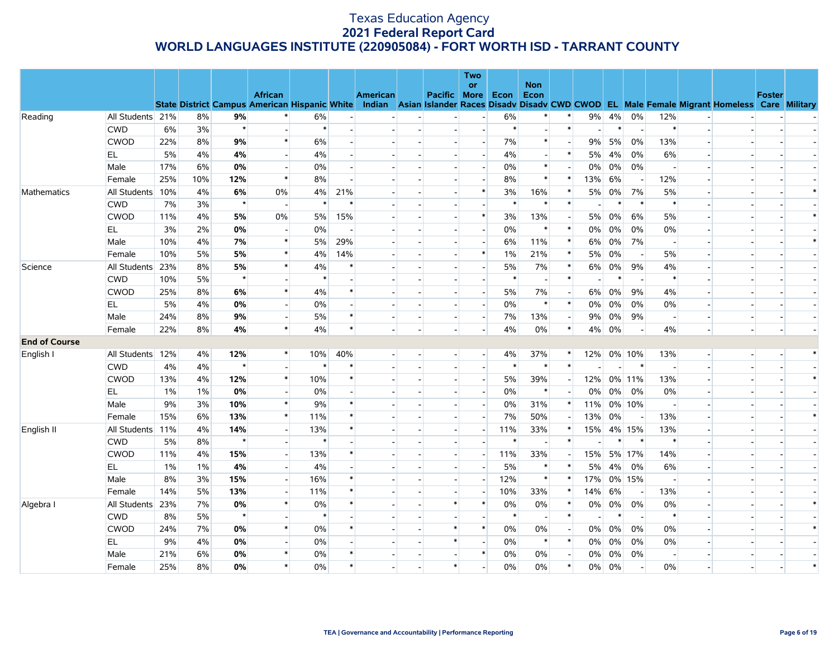| or<br><b>Non</b><br><b>African</b><br><b>American</b><br><b>Foster</b><br>Pacific More Econ<br>Econ<br><b>State District Campus American Hispanic White</b><br>Indian Asian Islander Races Disadv Disadv CWD CWOD EL Male Female Migrant Homeless Care Military<br>All Students 21%<br>$9\%$<br>0%<br>Reading<br>8%<br>6%<br>6%<br>9%<br>4%<br>12%<br>$\blacksquare$<br>$\star$<br>$\ast$<br>$\ast$<br>$\ast$<br><b>CWD</b><br>6%<br>3%<br>$\ast$<br>$\ast$<br>$\overline{a}$<br>$\overline{a}$<br>$\overline{\phantom{a}}$<br><b>CWOD</b><br>22%<br>$\ast$<br>7%<br>13%<br>8%<br>9%<br>6%<br>$\ast$<br>9%<br>5%<br>0%<br>5%<br>$\ast$<br>EL<br>4%<br>4%<br>4%<br>5%<br>4%<br>0%<br>6%<br>4%<br>Male<br>17%<br>6%<br>0%<br>0%<br>0%<br>$\ast$<br>0%<br>$0\%$<br>0%<br>$\overline{a}$<br>$\overline{a}$<br>$\overline{a}$<br>$\overline{a}$<br>$\ast$<br>25%<br>12%<br>8%<br>8%<br>$\ast$<br>$\ast$<br>13%<br>6%<br>12%<br>Female<br>10%<br>$\blacksquare$<br>$\overline{\phantom{a}}$<br>$\ast$<br>7%<br>Mathematics<br>All Students 10%<br>4%<br>6%<br>0%<br>4%<br>21%<br>3%<br>16%<br>$\ast$<br>5%<br>$0\%$<br>5%<br>$\blacksquare$<br>$\star$<br><b>CWD</b><br>7%<br>3%<br>$\ast$<br>$\ast$<br>$\ast$<br>$\ast$<br>$\ast$<br>$\ast$<br>$\ast$<br><b>CWOD</b><br>5%<br>15%<br>$\ast$<br>13%<br>$0\%$<br>11%<br>4%<br>0%<br>5%<br>3%<br>5%<br>6%<br>5%<br>$\sim$<br>$\overline{\phantom{a}}$<br>$\ast$<br>$\ast$ |    |    |    |    |    |  |                          | Two                      |    |  |    |       |    |    |  |        |
|-------------------------------------------------------------------------------------------------------------------------------------------------------------------------------------------------------------------------------------------------------------------------------------------------------------------------------------------------------------------------------------------------------------------------------------------------------------------------------------------------------------------------------------------------------------------------------------------------------------------------------------------------------------------------------------------------------------------------------------------------------------------------------------------------------------------------------------------------------------------------------------------------------------------------------------------------------------------------------------------------------------------------------------------------------------------------------------------------------------------------------------------------------------------------------------------------------------------------------------------------------------------------------------------------------------------------------------------------------------------------------------------------------------------|----|----|----|----|----|--|--------------------------|--------------------------|----|--|----|-------|----|----|--|--------|
|                                                                                                                                                                                                                                                                                                                                                                                                                                                                                                                                                                                                                                                                                                                                                                                                                                                                                                                                                                                                                                                                                                                                                                                                                                                                                                                                                                                                                   |    |    |    |    |    |  |                          |                          |    |  |    |       |    |    |  |        |
|                                                                                                                                                                                                                                                                                                                                                                                                                                                                                                                                                                                                                                                                                                                                                                                                                                                                                                                                                                                                                                                                                                                                                                                                                                                                                                                                                                                                                   |    |    |    |    |    |  |                          |                          |    |  |    |       |    |    |  |        |
|                                                                                                                                                                                                                                                                                                                                                                                                                                                                                                                                                                                                                                                                                                                                                                                                                                                                                                                                                                                                                                                                                                                                                                                                                                                                                                                                                                                                                   |    |    |    |    |    |  |                          |                          |    |  |    |       |    |    |  |        |
|                                                                                                                                                                                                                                                                                                                                                                                                                                                                                                                                                                                                                                                                                                                                                                                                                                                                                                                                                                                                                                                                                                                                                                                                                                                                                                                                                                                                                   |    |    |    |    |    |  |                          |                          |    |  |    |       |    |    |  |        |
|                                                                                                                                                                                                                                                                                                                                                                                                                                                                                                                                                                                                                                                                                                                                                                                                                                                                                                                                                                                                                                                                                                                                                                                                                                                                                                                                                                                                                   |    |    |    |    |    |  |                          |                          |    |  |    |       |    |    |  |        |
|                                                                                                                                                                                                                                                                                                                                                                                                                                                                                                                                                                                                                                                                                                                                                                                                                                                                                                                                                                                                                                                                                                                                                                                                                                                                                                                                                                                                                   |    |    |    |    |    |  |                          |                          |    |  |    |       |    |    |  |        |
|                                                                                                                                                                                                                                                                                                                                                                                                                                                                                                                                                                                                                                                                                                                                                                                                                                                                                                                                                                                                                                                                                                                                                                                                                                                                                                                                                                                                                   |    |    |    |    |    |  |                          |                          |    |  |    |       |    |    |  |        |
|                                                                                                                                                                                                                                                                                                                                                                                                                                                                                                                                                                                                                                                                                                                                                                                                                                                                                                                                                                                                                                                                                                                                                                                                                                                                                                                                                                                                                   |    |    |    |    |    |  |                          |                          |    |  |    |       |    |    |  |        |
|                                                                                                                                                                                                                                                                                                                                                                                                                                                                                                                                                                                                                                                                                                                                                                                                                                                                                                                                                                                                                                                                                                                                                                                                                                                                                                                                                                                                                   |    |    |    |    |    |  |                          |                          |    |  |    |       |    |    |  | $\ast$ |
|                                                                                                                                                                                                                                                                                                                                                                                                                                                                                                                                                                                                                                                                                                                                                                                                                                                                                                                                                                                                                                                                                                                                                                                                                                                                                                                                                                                                                   |    |    |    |    |    |  |                          |                          |    |  |    |       |    |    |  |        |
|                                                                                                                                                                                                                                                                                                                                                                                                                                                                                                                                                                                                                                                                                                                                                                                                                                                                                                                                                                                                                                                                                                                                                                                                                                                                                                                                                                                                                   |    |    |    |    |    |  |                          |                          |    |  |    |       |    |    |  | $\ast$ |
|                                                                                                                                                                                                                                                                                                                                                                                                                                                                                                                                                                                                                                                                                                                                                                                                                                                                                                                                                                                                                                                                                                                                                                                                                                                                                                                                                                                                                   | EL | 3% | 2% | 0% | 0% |  | $\overline{\phantom{a}}$ | $\overline{\phantom{a}}$ | 0% |  | 0% | $0\%$ | 0% | 0% |  |        |
| $\ast$<br>29%<br>$\ast$<br>0%<br>7%<br>Male<br>10%<br>4%<br>7%<br>5%<br>6%<br>11%<br>6%                                                                                                                                                                                                                                                                                                                                                                                                                                                                                                                                                                                                                                                                                                                                                                                                                                                                                                                                                                                                                                                                                                                                                                                                                                                                                                                           |    |    |    |    |    |  |                          |                          |    |  |    |       |    |    |  | $\ast$ |
| $\ast$<br>10%<br>5%<br>14%<br>$\ast$<br>5%<br>0%<br>5%<br>Female<br>5%<br>4%<br>1%<br>21%<br>$\ast$<br>$\overline{\phantom{a}}$<br>$\sim$                                                                                                                                                                                                                                                                                                                                                                                                                                                                                                                                                                                                                                                                                                                                                                                                                                                                                                                                                                                                                                                                                                                                                                                                                                                                         |    |    |    |    |    |  |                          |                          |    |  |    |       |    |    |  |        |
| $\ast$<br>All Students 23%<br>8%<br>5%<br>5%<br>7%<br>$\ast$<br>$0\%$<br>9%<br>4%<br>Science<br>4%<br>$\ast$<br>$6\%$<br>$\overline{\phantom{a}}$                                                                                                                                                                                                                                                                                                                                                                                                                                                                                                                                                                                                                                                                                                                                                                                                                                                                                                                                                                                                                                                                                                                                                                                                                                                                 |    |    |    |    |    |  |                          |                          |    |  |    |       |    |    |  |        |
| $\star$<br>$\ast$<br><b>CWD</b><br>10%<br>5%<br>$\ast$<br>$\ast$<br>$\ast$                                                                                                                                                                                                                                                                                                                                                                                                                                                                                                                                                                                                                                                                                                                                                                                                                                                                                                                                                                                                                                                                                                                                                                                                                                                                                                                                        |    |    |    |    |    |  |                          |                          |    |  |    |       |    |    |  |        |
| $\ast$<br><b>CWOD</b><br>6%<br>$\ast$<br>5%<br>7%<br>$0\%$<br>9%<br>4%<br>25%<br>8%<br>4%<br>6%<br>$\overline{\phantom{a}}$<br>$\blacksquare$<br>$\sim$<br>$\overline{a}$                                                                                                                                                                                                                                                                                                                                                                                                                                                                                                                                                                                                                                                                                                                                                                                                                                                                                                                                                                                                                                                                                                                                                                                                                                         |    |    |    |    |    |  |                          |                          |    |  |    |       |    |    |  |        |
| 5%<br>0%<br>0%<br>0%<br>$\ast$<br>$0\%$<br>$0\%$<br>0%<br>EL.<br>4%<br>$\ast$<br>0%<br>$\sim$<br>$\blacksquare$<br>$\overline{\phantom{a}}$                                                                                                                                                                                                                                                                                                                                                                                                                                                                                                                                                                                                                                                                                                                                                                                                                                                                                                                                                                                                                                                                                                                                                                                                                                                                       |    |    |    |    |    |  |                          |                          |    |  |    |       |    |    |  |        |
| 24%<br>9%<br>$\ast$<br>7%<br>$0\%$<br>9%<br>Male<br>8%<br>5%<br>13%<br>9%<br>$\blacksquare$<br>$\overline{a}$<br>$\overline{\phantom{a}}$                                                                                                                                                                                                                                                                                                                                                                                                                                                                                                                                                                                                                                                                                                                                                                                                                                                                                                                                                                                                                                                                                                                                                                                                                                                                         |    |    |    |    |    |  |                          |                          |    |  |    |       |    |    |  |        |
| $\ast$<br>22%<br>8%<br>4%<br>4%<br>$\ast$<br>4%<br>0%<br>$\ast$<br>$0\%$<br>Female<br>4%<br>4%<br>$\overline{a}$<br>$\overline{a}$<br>$\overline{\phantom{a}}$                                                                                                                                                                                                                                                                                                                                                                                                                                                                                                                                                                                                                                                                                                                                                                                                                                                                                                                                                                                                                                                                                                                                                                                                                                                    |    |    |    |    |    |  |                          |                          |    |  |    |       |    |    |  |        |
| <b>End of Course</b>                                                                                                                                                                                                                                                                                                                                                                                                                                                                                                                                                                                                                                                                                                                                                                                                                                                                                                                                                                                                                                                                                                                                                                                                                                                                                                                                                                                              |    |    |    |    |    |  |                          |                          |    |  |    |       |    |    |  |        |
| English I<br>All Students 12%<br>4%<br>12%<br>$\ast$<br>10%<br>40%<br>4%<br>37%<br>$\ast$<br>12%<br>0% 10%<br>13%<br>÷.<br>$\overline{\phantom{a}}$                                                                                                                                                                                                                                                                                                                                                                                                                                                                                                                                                                                                                                                                                                                                                                                                                                                                                                                                                                                                                                                                                                                                                                                                                                                               |    |    |    |    |    |  |                          |                          |    |  |    |       |    |    |  |        |
| $\star$<br>$\ast$<br>$\ast$<br><b>CWD</b><br>4%<br>4%<br>$\ast$<br>$\ast$<br>$\ast$<br>$\overline{a}$<br>$\blacksquare$                                                                                                                                                                                                                                                                                                                                                                                                                                                                                                                                                                                                                                                                                                                                                                                                                                                                                                                                                                                                                                                                                                                                                                                                                                                                                           |    |    |    |    |    |  |                          |                          |    |  |    |       |    |    |  |        |
| $\ast$<br>$\ast$<br><b>CWOD</b><br>13%<br>4%<br>12%<br>10%<br>5%<br>39%<br>12%<br>0% 11%<br>13%<br>$\sim$<br>$\overline{\phantom{a}}$<br>$\sim$<br>$\overline{a}$                                                                                                                                                                                                                                                                                                                                                                                                                                                                                                                                                                                                                                                                                                                                                                                                                                                                                                                                                                                                                                                                                                                                                                                                                                                 |    |    |    |    |    |  |                          |                          |    |  |    |       |    |    |  | $\ast$ |
| EL<br>0%<br>0%<br>0%<br>$\ast$<br>0%<br>$0\%$<br>0%<br>0%<br>$1\%$<br>$1\%$<br>$\overline{\phantom{a}}$<br>$\overline{\phantom{a}}$                                                                                                                                                                                                                                                                                                                                                                                                                                                                                                                                                                                                                                                                                                                                                                                                                                                                                                                                                                                                                                                                                                                                                                                                                                                                               |    |    |    |    |    |  |                          |                          |    |  |    |       |    |    |  |        |
| $\ast$<br>9%<br>3%<br>10%<br>9%<br>$\ast$<br>0%<br>31%<br>$\ast$<br>0% 10%<br>Male<br>11%                                                                                                                                                                                                                                                                                                                                                                                                                                                                                                                                                                                                                                                                                                                                                                                                                                                                                                                                                                                                                                                                                                                                                                                                                                                                                                                         |    |    |    |    |    |  |                          |                          |    |  |    |       |    |    |  |        |
| $\ast$<br>15%<br>$\ast$<br>7%<br>50%<br>13%<br>$0\%$<br>Female<br>6%<br>13%<br>11%<br>13%<br>$\overline{a}$                                                                                                                                                                                                                                                                                                                                                                                                                                                                                                                                                                                                                                                                                                                                                                                                                                                                                                                                                                                                                                                                                                                                                                                                                                                                                                       |    |    |    |    |    |  |                          |                          |    |  |    |       |    |    |  | $\ast$ |
| English II<br>All Students 11%<br>15%<br>4% 15%<br>4%<br>14%<br>13%<br>$\ast$<br>11%<br>33%<br>$\ast$<br>13%<br>$\overline{\phantom{0}}$<br>$\overline{a}$                                                                                                                                                                                                                                                                                                                                                                                                                                                                                                                                                                                                                                                                                                                                                                                                                                                                                                                                                                                                                                                                                                                                                                                                                                                        |    |    |    |    |    |  |                          |                          |    |  |    |       |    |    |  |        |
| $\ast$<br>$\star$<br><b>CWD</b><br>5%<br>8%<br>$\ast$<br>$\ast$<br>$\ast$<br>$\ast$                                                                                                                                                                                                                                                                                                                                                                                                                                                                                                                                                                                                                                                                                                                                                                                                                                                                                                                                                                                                                                                                                                                                                                                                                                                                                                                               |    |    |    |    |    |  |                          |                          |    |  |    |       |    |    |  |        |
| <b>CWOD</b><br>11%<br>15%<br>13%<br>11%<br>33%<br>15%<br>5% 17%<br>14%<br>4%<br>$\overline{\phantom{a}}$<br>$\sim$<br>$\overline{a}$                                                                                                                                                                                                                                                                                                                                                                                                                                                                                                                                                                                                                                                                                                                                                                                                                                                                                                                                                                                                                                                                                                                                                                                                                                                                              |    |    |    |    |    |  |                          |                          |    |  |    |       |    |    |  |        |
| 4%<br>$5\%$<br>EL.<br>$1\%$<br>4%<br>$\ast$<br>5%<br>4%<br>0%<br>6%<br>$1\%$<br>∗<br>$\blacksquare$<br>$\overline{\phantom{a}}$<br>$\overline{\phantom{a}}$                                                                                                                                                                                                                                                                                                                                                                                                                                                                                                                                                                                                                                                                                                                                                                                                                                                                                                                                                                                                                                                                                                                                                                                                                                                       |    |    |    |    |    |  |                          |                          |    |  |    |       |    |    |  |        |
| $\ast$<br>0% 15%<br>Male<br>8%<br>3%<br>15%<br>16%<br>$\ast$<br>12%<br>$\ast$<br>17%<br>$\blacksquare$<br>$\overline{\phantom{a}}$                                                                                                                                                                                                                                                                                                                                                                                                                                                                                                                                                                                                                                                                                                                                                                                                                                                                                                                                                                                                                                                                                                                                                                                                                                                                                |    |    |    |    |    |  |                          |                          |    |  |    |       |    |    |  |        |
| 5%<br>$\ast$<br>6%<br>Female<br>14%<br>13%<br>11%<br>$\ast$<br>10%<br>33%<br>14%<br>13%<br>$\overline{\phantom{a}}$                                                                                                                                                                                                                                                                                                                                                                                                                                                                                                                                                                                                                                                                                                                                                                                                                                                                                                                                                                                                                                                                                                                                                                                                                                                                                               |    |    |    |    |    |  |                          |                          |    |  |    |       |    |    |  |        |
| $\ast$<br>All Students 23%<br>7%<br>0%<br>0%<br>$\ast$<br>$\ast$<br>$\ast$<br>0%<br>0%<br>$\ast$<br>0%<br>$0\%$<br>0%<br>0%<br>Algebra I                                                                                                                                                                                                                                                                                                                                                                                                                                                                                                                                                                                                                                                                                                                                                                                                                                                                                                                                                                                                                                                                                                                                                                                                                                                                          |    |    |    |    |    |  |                          |                          |    |  |    |       |    |    |  | $\ast$ |
| $\star$<br><b>CWD</b><br>8%<br>$\ast$<br>$\ast$<br>$\ast$<br>$\ast$<br>5%<br>$\ast$<br>$\overline{\phantom{a}}$<br>$\overline{\phantom{a}}$                                                                                                                                                                                                                                                                                                                                                                                                                                                                                                                                                                                                                                                                                                                                                                                                                                                                                                                                                                                                                                                                                                                                                                                                                                                                       |    |    |    |    |    |  |                          |                          |    |  |    |       |    |    |  |        |
| $\ast$<br>$\ast$<br><b>CWOD</b><br>24%<br>7%<br>0%<br>0%<br>$\ast$<br>$0\%$<br>0%<br>0%<br>$0\%$<br>0%<br>0%                                                                                                                                                                                                                                                                                                                                                                                                                                                                                                                                                                                                                                                                                                                                                                                                                                                                                                                                                                                                                                                                                                                                                                                                                                                                                                      |    |    |    |    |    |  |                          |                          |    |  |    |       |    |    |  | $\ast$ |
| 9%<br>0%<br>$\ast$<br>$\ast$<br>$0\%$<br>0%<br>EL.<br>4%<br>$0\%$<br>0%<br>$\ast$<br>0%<br>0%                                                                                                                                                                                                                                                                                                                                                                                                                                                                                                                                                                                                                                                                                                                                                                                                                                                                                                                                                                                                                                                                                                                                                                                                                                                                                                                     |    |    |    |    |    |  |                          |                          |    |  |    |       |    |    |  |        |
| 21%<br>6%<br>0%<br>$\ast$<br>$0\%$<br>$\ast$<br>0%<br>0%<br>$0\%$<br>$0\%$<br>Male<br>$\ast$<br>0%<br>$\overline{\phantom{a}}$<br>$\blacksquare$<br>$\overline{\phantom{a}}$                                                                                                                                                                                                                                                                                                                                                                                                                                                                                                                                                                                                                                                                                                                                                                                                                                                                                                                                                                                                                                                                                                                                                                                                                                      |    |    |    |    |    |  |                          |                          |    |  |    |       |    |    |  |        |
| $\ast$<br>$\ast$<br>$\ast$<br>25%<br>8%<br>0%<br>0%<br>0%<br>0%<br>$\ast$<br>0%<br>$0\%$<br>0%<br>Female<br>$\overline{\phantom{a}}$                                                                                                                                                                                                                                                                                                                                                                                                                                                                                                                                                                                                                                                                                                                                                                                                                                                                                                                                                                                                                                                                                                                                                                                                                                                                              |    |    |    |    |    |  |                          |                          |    |  |    |       |    |    |  | $\ast$ |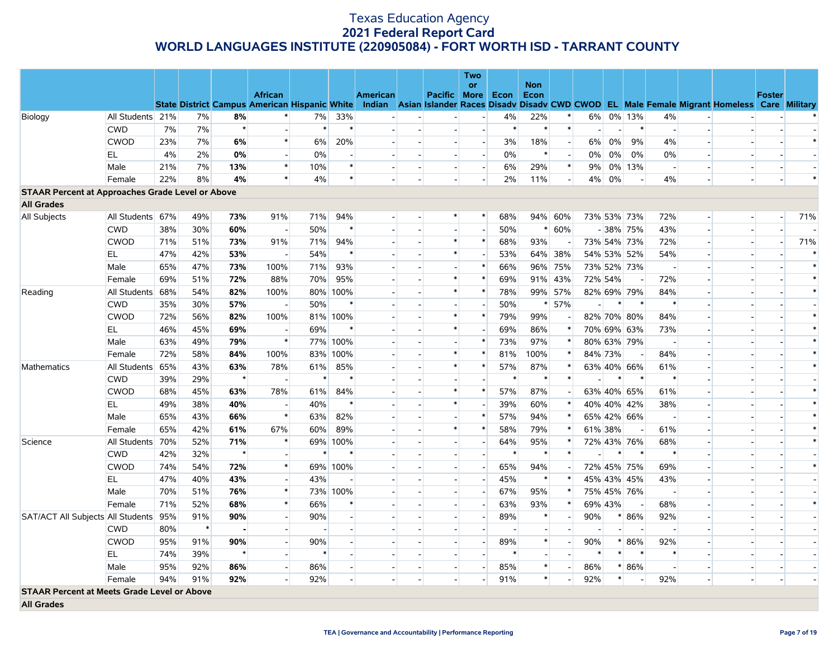|                                                         |                  |     |        |         |                                                      |        |                          |          |                          | <b>Two</b>               |        |                    |                          |                |         |             |                                                                                                  |               |        |
|---------------------------------------------------------|------------------|-----|--------|---------|------------------------------------------------------|--------|--------------------------|----------|--------------------------|--------------------------|--------|--------------------|--------------------------|----------------|---------|-------------|--------------------------------------------------------------------------------------------------|---------------|--------|
|                                                         |                  |     |        |         | <b>African</b>                                       |        |                          | American | Pacific                  | <b>or</b><br>More        | Econ   | <b>Non</b><br>Econ |                          |                |         |             |                                                                                                  | <b>Foster</b> |        |
|                                                         |                  |     |        |         | <b>State District Campus American Hispanic White</b> |        |                          |          |                          |                          |        |                    |                          |                |         |             | Indian Asian Islander Races Disady Disady CWD CWOD EL Male Female Migrant Homeless Care Military |               |        |
| Biology                                                 | All Students 21% |     | 7%     | 8%      |                                                      | 7%     | 33%                      |          |                          |                          | 4%     | 22%                | $\ast$                   | 6%             |         | 0% 13%      | 4%                                                                                               |               | $\ast$ |
|                                                         | <b>CWD</b>       | 7%  | 7%     | $\star$ |                                                      |        | $\ast$                   |          |                          | $\overline{a}$           | $\ast$ | $\ast$             | $\ast$                   | $\overline{a}$ |         | $\ast$      | $\sim$                                                                                           |               |        |
|                                                         | <b>CWOD</b>      | 23% | 7%     | 6%      | $\ast$                                               | 6%     | 20%                      |          | $\overline{\phantom{a}}$ | $\overline{\phantom{a}}$ | 3%     | 18%                | $\overline{\phantom{a}}$ | 6%             | $0\%$   | 9%          | 4%                                                                                               |               | $\ast$ |
|                                                         | EL               | 4%  | 2%     | 0%      |                                                      | 0%     | $\overline{\phantom{a}}$ |          | $\overline{a}$           | $\overline{a}$           | $0\%$  | $\ast$             | $\overline{a}$           | $0\%$          | $0\%$   | 0%          | 0%<br>$\overline{a}$                                                                             |               |        |
|                                                         | Male             | 21% | 7%     | 13%     | $\ast$                                               | 10%    | $\ast$                   |          | $\overline{a}$           | $\overline{\phantom{a}}$ | 6%     | 29%                | $\ast$                   | 9%             |         | 0% 13%      | $\overline{\phantom{a}}$                                                                         |               |        |
|                                                         | Female           | 22% | 8%     | 4%      | $\ast$                                               | 4%     | $\ast$                   |          | H                        |                          | 2%     | 11%                | $\overline{a}$           | 4%             | 0%      |             | 4%                                                                                               |               | $\ast$ |
| <b>STAAR Percent at Approaches Grade Level or Above</b> |                  |     |        |         |                                                      |        |                          |          |                          |                          |        |                    |                          |                |         |             |                                                                                                  |               |        |
| <b>All Grades</b>                                       |                  |     |        |         |                                                      |        |                          |          |                          |                          |        |                    |                          |                |         |             |                                                                                                  |               |        |
| All Subjects                                            | All Students 67% |     | 49%    | 73%     | 91%                                                  | 71%    | 94%                      |          | $\ast$                   | $\ast$                   | 68%    |                    | 94% 60%                  |                |         | 73% 53% 73% | 72%                                                                                              |               | 71%    |
|                                                         | <b>CWD</b>       | 38% | 30%    | 60%     | $\overline{\phantom{a}}$                             | 50%    | $\ast$                   |          |                          |                          | 50%    | $\ast$             | 60%                      |                |         | $-38\%$ 75% | 43%<br>$\overline{\phantom{a}}$                                                                  |               |        |
|                                                         | <b>CWOD</b>      | 71% | 51%    | 73%     | 91%                                                  | 71%    | 94%                      |          | $\ast$                   | $\ast$                   | 68%    | 93%                |                          |                |         | 73% 54% 73% | 72%<br>$\overline{\phantom{a}}$                                                                  | $\sim$        | 71%    |
|                                                         | EL               | 47% | 42%    | 53%     |                                                      | 54%    | $\ast$                   |          | $\ast$                   | $\overline{a}$           | 53%    |                    | 64% 38%                  |                |         | 54% 53% 52% | 54%<br>$\overline{\phantom{a}}$                                                                  |               | $\ast$ |
|                                                         | Male             | 65% | 47%    | 73%     | 100%                                                 | 71%    | 93%                      |          | ш.                       | $\ast$                   | 66%    |                    | 96% 75%                  |                |         | 73% 52% 73% | $\overline{\phantom{a}}$                                                                         |               | $\ast$ |
|                                                         | Female           | 69% | 51%    | 72%     | 88%                                                  | 70%    | 95%                      |          | $\ast$                   |                          | 69%    |                    | 91% 43%                  |                | 72% 54% |             | 72%                                                                                              |               | $\ast$ |
| Reading                                                 | All Students 68% |     | 54%    | 82%     | 100%                                                 | 80%    | 100%                     |          | $\ast$                   | $\ast$                   | 78%    |                    | 99% 57%                  |                |         | 82% 69% 79% | 84%                                                                                              |               | $\ast$ |
|                                                         | <b>CWD</b>       | 35% | 30%    | 57%     |                                                      | 50%    | $\ast$                   |          |                          |                          | 50%    | $\ast$             | 57%                      |                | $\ast$  | $\ast$      | $\ast$                                                                                           |               |        |
|                                                         | <b>CWOD</b>      | 72% | 56%    | 82%     | 100%                                                 |        | 81% 100%                 |          | $\ast$                   | $\ast$                   | 79%    | 99%                |                          |                |         | 82% 70% 80% | 84%                                                                                              |               | $\ast$ |
|                                                         | EL               | 46% | 45%    | 69%     |                                                      | 69%    | $\ast$                   |          | $\ast$                   |                          | 69%    | 86%                |                          |                |         | 70% 69% 63% | 73%                                                                                              |               | $\ast$ |
|                                                         | Male             | 63% | 49%    | 79%     | $\ast$                                               |        | 77% 100%                 |          | н.                       | $\ast$                   | 73%    | 97%                | $\ast$                   |                |         | 80% 63% 79% | $\sim$<br>$\overline{a}$                                                                         |               | $\ast$ |
|                                                         | Female           | 72% | 58%    | 84%     | 100%                                                 | 83%    | 100%                     |          | $\ast$                   | $\ast$                   | 81%    | 100%               | $\ast$                   |                | 84% 73% |             | 84%                                                                                              |               | $\ast$ |
| <b>Mathematics</b>                                      | All Students 65% |     | 43%    | 63%     | 78%                                                  | 61%    | 85%                      |          | $\ast$                   | $\ast$                   | 57%    | 87%                | $\ast$                   |                |         | 63% 40% 66% | 61%<br>$\overline{\phantom{a}}$                                                                  |               | $\ast$ |
|                                                         | <b>CWD</b>       | 39% | 29%    | $\star$ |                                                      | $\ast$ | $\ast$                   |          |                          |                          | $\ast$ | $\ast$             | $\ast$                   |                | $\ast$  | $\ast$      | $\ast$                                                                                           |               |        |
|                                                         | <b>CWOD</b>      | 68% | 45%    | 63%     | 78%                                                  | 61%    | 84%                      |          | $\ast$                   | $\ast$                   | 57%    | 87%                |                          |                |         | 63% 40% 65% | 61%<br>$\overline{\phantom{a}}$                                                                  |               | $\ast$ |
|                                                         | EL               | 49% | 38%    | 40%     |                                                      | 40%    | $\ast$                   |          | $\ast$                   |                          | 39%    | 60%                |                          |                |         | 40% 40% 42% | 38%                                                                                              |               | $\ast$ |
|                                                         | Male             | 65% | 43%    | 66%     | $\ast$                                               | 63%    | 82%                      |          |                          |                          | 57%    | 94%                |                          |                |         | 65% 42% 66% | $\overline{\phantom{a}}$                                                                         |               | $\ast$ |
|                                                         | Female           | 65% | 42%    | 61%     | 67%                                                  | 60%    | 89%                      |          | $\ast$                   | $\ast$                   | 58%    | 79%                |                          |                | 61% 38% |             | 61%                                                                                              |               | $\ast$ |
| Science                                                 | All Students 70% |     | 52%    | 71%     | $\ast$                                               | 69%    | 100%                     |          | $\overline{\phantom{a}}$ | $\overline{\phantom{a}}$ | 64%    | 95%                |                          |                |         | 72% 43% 76% | 68%                                                                                              |               | $\ast$ |
|                                                         | <b>CWD</b>       | 42% | 32%    | $\star$ |                                                      |        | $\ast$                   |          |                          | $\overline{a}$           | $\ast$ | $\ast$             | $\ast$                   |                | $\ast$  |             | $\ast$                                                                                           |               |        |
|                                                         | <b>CWOD</b>      | 74% | 54%    | 72%     | $\ast$                                               |        | 69% 100%                 |          |                          | $\mathcal{L}^{\pm}$      | 65%    | 94%                |                          |                |         | 72% 45% 75% | 69%                                                                                              |               | $\ast$ |
|                                                         | EL.              | 47% | 40%    | 43%     | $\overline{\phantom{a}}$                             | 43%    |                          |          | н.                       | $\overline{a}$           | 45%    | $\ast$             | $\ast$                   |                |         | 45% 43% 45% | 43%<br>$\overline{a}$                                                                            |               |        |
|                                                         | Male             | 70% | 51%    | 76%     | $\ast$                                               |        | 73% 100%                 |          |                          |                          | 67%    | 95%                | $\ast$                   |                |         | 75% 45% 76% | $\overline{a}$                                                                                   |               |        |
|                                                         | Female           | 71% | 52%    | 68%     | $\ast$                                               | 66%    | ∗                        |          | $\overline{a}$           | $\overline{a}$           | 63%    | 93%                | $\ast$                   |                | 69% 43% |             | 68%<br>$\overline{a}$                                                                            |               | $\ast$ |
| SAT/ACT All Subjects All Students 95%                   |                  |     | 91%    | 90%     |                                                      | 90%    |                          |          |                          |                          | 89%    | $\ast$             | $\sim$                   | 90%            | $\ast$  | 86%         | 92%                                                                                              |               |        |
|                                                         | <b>CWD</b>       | 80% | $\ast$ |         |                                                      |        |                          |          | $\overline{a}$           |                          |        |                    |                          |                | $\sim$  |             | $\overline{\phantom{a}}$<br>$\blacksquare$                                                       |               |        |
|                                                         | <b>CWOD</b>      | 95% | 91%    | 90%     |                                                      | 90%    |                          |          |                          |                          | 89%    | $\ast$             |                          | 90%            | $*$     | 86%         | 92%                                                                                              |               |        |
|                                                         | EL               | 74% | 39%    |         |                                                      |        |                          |          |                          |                          |        |                    |                          |                | $\ast$  |             |                                                                                                  |               |        |
|                                                         | Male             | 95% | 92%    | 86%     | $\overline{a}$                                       | 86%    |                          |          | $\overline{a}$           | $\overline{a}$           | 85%    | $\ast$             | $\sim$                   | 86%            |         | $* 86%$     | $\sim$<br>$\overline{\phantom{a}}$                                                               |               |        |
|                                                         | Female           | 94% | 91%    | 92%     |                                                      | 92%    |                          |          | $\overline{a}$           |                          | 91%    | $\ast$             |                          | 92%            | $\ast$  |             | 92%                                                                                              |               |        |
| <b>STAAR Percent at Meets Grade Level or Above</b>      |                  |     |        |         |                                                      |        |                          |          |                          |                          |        |                    |                          |                |         |             |                                                                                                  |               |        |
| <b>All Grades</b>                                       |                  |     |        |         |                                                      |        |                          |          |                          |                          |        |                    |                          |                |         |             |                                                                                                  |               |        |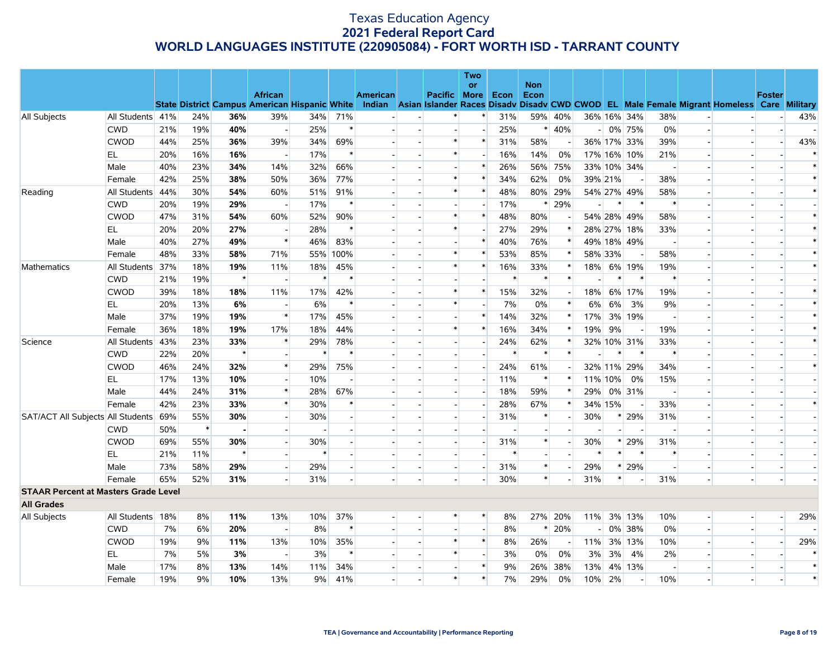|                                             |                  |     |        |         |                                                      |        |        |          |                     | Two                      |        |                    |                          |                          |         |                          |                |                          |                                                                                                  |               |        |
|---------------------------------------------|------------------|-----|--------|---------|------------------------------------------------------|--------|--------|----------|---------------------|--------------------------|--------|--------------------|--------------------------|--------------------------|---------|--------------------------|----------------|--------------------------|--------------------------------------------------------------------------------------------------|---------------|--------|
|                                             |                  |     |        |         | <b>African</b>                                       |        |        | American | <b>Pacific More</b> | or                       | Econ   | <b>Non</b><br>Econ |                          |                          |         |                          |                |                          |                                                                                                  | <b>Foster</b> |        |
|                                             |                  |     |        |         | <b>State District Campus American Hispanic White</b> |        |        |          |                     |                          |        |                    |                          |                          |         |                          |                |                          | Indian Asian Islander Races Disadv Disadv CWD CWOD EL Male Female Migrant Homeless Care Military |               |        |
| All Subjects                                | All Students 41% |     | 24%    | 36%     | 39%                                                  | 34%    | 71%    |          |                     |                          | 31%    |                    | 59% 40%                  |                          |         | 36% 16% 34%              | 38%            |                          |                                                                                                  |               | 43%    |
|                                             | <b>CWD</b>       | 21% | 19%    | 40%     | $\overline{\phantom{a}}$                             | 25%    | $\ast$ |          |                     |                          | 25%    |                    | $* 40%$                  |                          |         | $-0\%$ 75%               | 0%             |                          |                                                                                                  |               |        |
|                                             | <b>CWOD</b>      | 44% | 25%    | 36%     | 39%                                                  | 34%    | 69%    |          | $\ast$              | $\ast$                   | 31%    | 58%                |                          |                          |         | 36% 17% 33%              | 39%            |                          |                                                                                                  |               | 43%    |
|                                             | <b>EL</b>        | 20% | 16%    | 16%     | $\overline{a}$                                       | 17%    | $\ast$ |          | $\ast$              |                          | 16%    | 14%                | 0%                       |                          |         | 17% 16% 10%              | 21%            | $\sim$                   |                                                                                                  |               |        |
|                                             | Male             | 40% | 23%    | 34%     | 14%                                                  | 32%    | 66%    |          |                     | $\ast$                   | 26%    |                    | 56% 75%                  |                          |         | 33% 10% 34%              |                |                          |                                                                                                  |               | $\ast$ |
|                                             | Female           | 42% | 25%    | 38%     | 50%                                                  | 36%    | 77%    |          | $\ast$              | $\ast$                   | 34%    | 62%                | 0%                       |                          | 39% 21% |                          | 38%            | $\sim$                   |                                                                                                  |               | $\ast$ |
| Reading                                     | All Students     | 44% | 30%    | 54%     | 60%                                                  | 51%    | 91%    |          | $\ast$              | $\ast$                   | 48%    |                    | 80% 29%                  |                          |         | 54% 27% 49%              | 58%            |                          |                                                                                                  |               | $\ast$ |
|                                             | <b>CWD</b>       | 20% | 19%    | 29%     | $\overline{\phantom{a}}$                             | 17%    | $\ast$ |          |                     |                          | 17%    |                    | $*$ 29%                  | $\overline{\phantom{0}}$ | $\ast$  | $\ast$                   |                |                          |                                                                                                  |               |        |
|                                             | <b>CWOD</b>      | 47% | 31%    | 54%     | 60%                                                  | 52%    | 90%    |          | $\ast$              | $\ast$                   | 48%    | 80%                |                          |                          |         | 54% 28% 49%              | 58%            | $\sim$                   |                                                                                                  |               | $\ast$ |
|                                             | EL               | 20% | 20%    | 27%     | $\overline{\phantom{a}}$                             | 28%    | $\ast$ |          | $\ast$              |                          | 27%    | 29%                |                          |                          |         | 28% 27% 18%              | 33%            |                          |                                                                                                  |               | $\ast$ |
|                                             | Male             | 40% | 27%    | 49%     | $\ast$                                               | 46%    | 83%    |          |                     | $\ast$                   | 40%    | 76%                | $\ast$                   |                          |         | 49% 18% 49%              | $\overline{a}$ | $\sim$                   |                                                                                                  |               |        |
|                                             | Female           | 48% | 33%    | 58%     | 71%                                                  | 55%    | 100%   |          | $\ast$              | $\ast$                   | 53%    | 85%                | $\ast$                   |                          | 58% 33% |                          | 58%            | $\overline{\phantom{a}}$ |                                                                                                  |               |        |
| Mathematics                                 | All Students 37% |     | 18%    | 19%     | 11%                                                  | 18%    | 45%    |          | $\ast$              | $\ast$                   | 16%    | 33%                |                          | 18%                      |         | 6% 19%                   | 19%            |                          |                                                                                                  |               |        |
|                                             | <b>CWD</b>       | 21% | 19%    | $\star$ | $\overline{a}$                                       | $\ast$ | $\ast$ |          |                     |                          | $\ast$ | $\ast$             | $\ast$                   |                          | $\ast$  | $\ast$                   | $\ast$         | $\sim$                   |                                                                                                  |               |        |
|                                             | <b>CWOD</b>      | 39% | 18%    | 18%     | 11%                                                  | 17%    | 42%    |          | $\ast$              | $\ast$                   | 15%    | 32%                |                          | 18%                      |         | 6% 17%                   | 19%            | $\overline{\phantom{a}}$ |                                                                                                  |               |        |
|                                             | EL               | 20% | 13%    | 6%      | $\sim$                                               | 6%     | $\ast$ |          | $\ast$              |                          | 7%     | 0%                 | $\ast$                   | 6%                       | 6%      | 3%                       | 9%             | $\sim$                   |                                                                                                  |               |        |
|                                             | Male             | 37% | 19%    | 19%     | $\ast$                                               | 17%    | 45%    |          |                     | $\ast$                   | 14%    | 32%                | $\ast$                   | 17%                      |         | 3% 19%                   | $\sim$         | $\overline{\phantom{a}}$ |                                                                                                  |               |        |
|                                             | Female           | 36% | 18%    | 19%     | 17%                                                  | 18%    | 44%    |          | $\ast$              | $\ast$                   | 16%    | 34%                | $\ast$                   | 19%                      | 9%      |                          | 19%            |                          |                                                                                                  |               | $\ast$ |
| Science                                     | All Students 43% |     | 23%    | 33%     | $\ast$                                               | 29%    | 78%    |          |                     | $\overline{a}$           | 24%    | 62%                | $\ast$                   |                          |         | 32% 10% 31%              | 33%            |                          |                                                                                                  |               | $\ast$ |
|                                             | <b>CWD</b>       | 22% | 20%    | $\star$ |                                                      |        | $\ast$ |          |                     |                          |        | $\ast$             |                          |                          |         | $\ast$                   | $\ast$         |                          |                                                                                                  |               |        |
|                                             | <b>CWOD</b>      | 46% | 24%    | 32%     | $\ast$                                               | 29%    | 75%    |          | $\overline{a}$      | $\overline{\phantom{a}}$ | 24%    | 61%                |                          |                          |         | 32% 11% 29%              | 34%            | $\omega$                 |                                                                                                  |               |        |
|                                             | EL               | 17% | 13%    | 10%     |                                                      | 10%    |        |          | $\overline{a}$      |                          | 11%    | $\ast$             | $\ast$                   |                          | 11% 10% | 0%                       | 15%            | $\sim$                   |                                                                                                  |               |        |
|                                             | Male             | 44% | 24%    | 31%     | $\ast$                                               | 28%    | 67%    |          |                     |                          | 18%    | 59%                | $\ast$                   | 29%                      |         | 0% 31%                   |                |                          |                                                                                                  |               |        |
|                                             | Female           | 42% | 23%    | 33%     | $\ast$                                               | 30%    | $\ast$ |          | ш.                  | $\overline{a}$           | 28%    | 67%                | $\ast$                   |                          | 34% 15% |                          | 33%            |                          |                                                                                                  |               | $\ast$ |
| SAT/ACT All Subjects All Students 69%       |                  |     | 55%    | 30%     |                                                      | 30%    |        |          | $\overline{a}$      |                          | 31%    |                    |                          | 30%                      | $\ast$  | 29%                      | 31%            | $\overline{\phantom{a}}$ |                                                                                                  |               |        |
|                                             | <b>CWD</b>       | 50% | $\ast$ |         |                                                      |        |        |          |                     |                          |        |                    |                          |                          |         |                          |                |                          |                                                                                                  |               |        |
|                                             | <b>CWOD</b>      | 69% | 55%    | 30%     |                                                      | 30%    |        |          | $\overline{a}$      |                          | 31%    | $\ast$             | $\overline{\phantom{a}}$ | 30%                      | $\ast$  | 29%                      | 31%            | $\sim$                   |                                                                                                  |               |        |
|                                             | EL               | 21% | 11%    |         |                                                      | $\ast$ |        |          |                     |                          | $\ast$ |                    |                          | $\ast$                   | $\ast$  |                          |                |                          |                                                                                                  |               |        |
|                                             | Male             | 73% | 58%    | 29%     | $\mathbf{r}$                                         | 29%    |        |          | $\overline{a}$      | $\overline{a}$           | 31%    | $\ast$             |                          | 29%                      |         | * 29%                    |                |                          |                                                                                                  |               |        |
|                                             | Female           | 65% | 52%    | 31%     |                                                      | 31%    |        |          |                     |                          | 30%    | $\ast$             |                          | 31%                      | $\ast$  |                          | 31%            |                          |                                                                                                  |               |        |
| <b>STAAR Percent at Masters Grade Level</b> |                  |     |        |         |                                                      |        |        |          |                     |                          |        |                    |                          |                          |         |                          |                |                          |                                                                                                  |               |        |
| <b>All Grades</b>                           |                  |     |        |         |                                                      |        |        |          |                     |                          |        |                    |                          |                          |         |                          |                |                          |                                                                                                  |               |        |
| All Subjects                                | All Students 18% |     | 8%     | 11%     | 13%                                                  | 10%    | 37%    |          |                     | $\ast$                   | 8%     |                    | 27% 20%                  | $11\%$                   |         | 3% 13%                   | 10%            | $\overline{\phantom{a}}$ |                                                                                                  |               | 29%    |
|                                             | <b>CWD</b>       | 7%  | 6%     | 20%     | $\sim$                                               | 8%     | $\ast$ |          |                     | $\overline{a}$           | 8%     | $\ast$             | 20%                      | $\overline{\phantom{0}}$ |         | 0% 38%                   | 0%             | $\mathbf{r}$             |                                                                                                  |               |        |
|                                             | <b>CWOD</b>      | 19% | 9%     | 11%     | 13%                                                  | 10%    | 35%    |          | $\ast$              | $\ast$                   | 8%     | 26%                |                          |                          |         | 11% 3% 13%               | 10%            | $\overline{\phantom{a}}$ |                                                                                                  |               | 29%    |
|                                             | EL               | 7%  | 5%     | 3%      | $\sim$                                               | 3%     | $\ast$ |          | $\ast$              |                          | 3%     | $0\%$              | 0%                       | 3%                       | 3%      | 4%                       | 2%             |                          |                                                                                                  |               | $\ast$ |
|                                             | Male             | 17% | 8%     | 13%     | 14%                                                  | 11%    | 34%    |          | $\blacksquare$      | $\ast$                   | 9%     |                    | 26% 38%                  | 13%                      |         | 4% 13%                   | $\sim$         | $\overline{\phantom{a}}$ |                                                                                                  |               | $\ast$ |
|                                             | Female           | 19% | 9%     | 10%     | 13%                                                  | 9%     | 41%    |          | $\ast$              | $\ast$                   | 7%     | 29%                | 0%                       | 10%                      | 2%      | $\overline{\phantom{a}}$ | 10%            |                          |                                                                                                  |               | $\ast$ |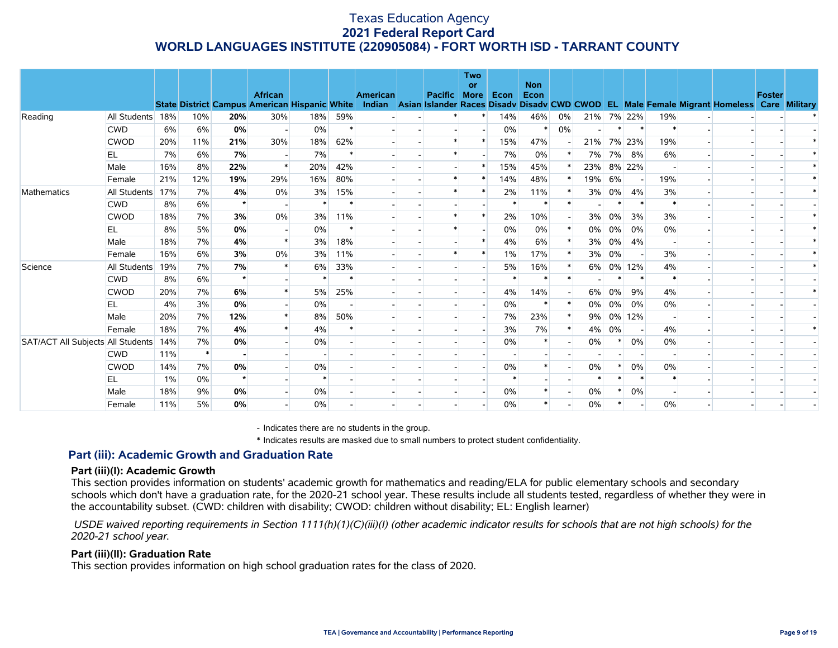|                                   |              |     |        |         | <b>African</b>                                       |        |        | <b>American</b> | <b>Pacific</b> | <b>Two</b><br>or<br><b>More</b> | Econ   | <b>Non</b><br>Econ |        |       |        |        |        |                                                                                                  | <b>Foster</b> |  |
|-----------------------------------|--------------|-----|--------|---------|------------------------------------------------------|--------|--------|-----------------|----------------|---------------------------------|--------|--------------------|--------|-------|--------|--------|--------|--------------------------------------------------------------------------------------------------|---------------|--|
|                                   |              |     |        |         | <b>State District Campus American Hispanic White</b> |        |        |                 |                |                                 |        |                    |        |       |        |        |        | Indian Asian Islander Races Disadv Disadv CWD CWOD EL Male Female Migrant Homeless Care Military |               |  |
| Reading                           | All Students | 18% | 10%    | 20%     | 30%                                                  | 18%    | 59%    |                 |                | *                               | 14%    | 46%                | $0\%$  | 21%   |        | 7% 22% | 19%    |                                                                                                  |               |  |
|                                   | <b>CWD</b>   | 6%  | 6%     | 0%      |                                                      | 0%     | $\ast$ |                 |                |                                 | 0%     |                    | 0%     |       |        |        |        |                                                                                                  |               |  |
|                                   | <b>CWOD</b>  | 20% | 11%    | 21%     | 30%                                                  | 18%    | 62%    |                 |                | $\ast$                          | 15%    | 47%                |        | 21%   |        | 7% 23% | 19%    |                                                                                                  |               |  |
|                                   | EL           | 7%  | 6%     | 7%      |                                                      | 7%     |        |                 |                |                                 | 7%     | 0%                 |        | 7%    |        | 7% 8%  | 6%     |                                                                                                  |               |  |
|                                   | Male         | 16% | 8%     | 22%     |                                                      | 20%    | 42%    |                 |                | $\ast$                          | 15%    | 45%                |        | 23%   |        | 8% 22% |        |                                                                                                  |               |  |
|                                   | Female       | 21% | 12%    | 19%     | 29%                                                  | 16%    | 80%    |                 |                | $\ast$                          | 14%    | 48%                | $\ast$ | 19%   | 6%     |        | 19%    |                                                                                                  |               |  |
| Mathematics                       | All Students | 17% | 7%     | 4%      | 0%                                                   | 3%     | 15%    |                 |                |                                 | 2%     | 11%                |        | 3%    | $0\%$  | 4%     | 3%     |                                                                                                  |               |  |
|                                   | <b>CWD</b>   | 8%  | 6%     |         |                                                      | $\ast$ |        |                 |                |                                 |        |                    |        |       |        |        |        |                                                                                                  |               |  |
|                                   | <b>CWOD</b>  | 18% | 7%     | 3%      | 0%                                                   | 3%     | 11%    |                 |                | $\ast$                          | 2%     | 10%                |        | 3%    | 0%     | 3%     | 3%     |                                                                                                  |               |  |
|                                   | EL           | 8%  | 5%     | 0%      |                                                      | 0%     |        |                 |                |                                 | 0%     | $0\%$              |        | $0\%$ | 0%     | 0%     | 0%     |                                                                                                  |               |  |
|                                   | Male         | 18% | 7%     | 4%      |                                                      | 3%     | 18%    |                 |                |                                 | 4%     | 6%                 |        | 3%    | 0%     | 4%     |        |                                                                                                  |               |  |
|                                   | Female       | 16% | 6%     | 3%      | 0%                                                   | 3%     | 11%    |                 |                | $\ast$                          | $1\%$  | 17%                |        | 3%    | 0%     |        | 3%     |                                                                                                  |               |  |
| Science                           | All Students | 19% | 7%     | 7%      |                                                      | 6%     | 33%    |                 |                |                                 | 5%     | 16%                |        | 6%    |        | 0% 12% | 4%     |                                                                                                  |               |  |
|                                   | <b>CWD</b>   | 8%  | 6%     | $\star$ |                                                      | $\ast$ | *      |                 |                |                                 |        |                    |        |       |        |        | $\ast$ |                                                                                                  |               |  |
|                                   | <b>CWOD</b>  | 20% | 7%     | 6%      |                                                      | 5%     | 25%    |                 |                | $\overline{\phantom{a}}$        | 4%     | 14%                |        | 6%    | 0%     | 9%     | 4%     |                                                                                                  |               |  |
|                                   | <b>EL</b>    | 4%  | 3%     | 0%      |                                                      | $0\%$  |        |                 |                |                                 | 0%     | $\ast$             |        | 0%    | 0%     | 0%     | $0\%$  |                                                                                                  |               |  |
|                                   | Male         | 20% | 7%     | 12%     |                                                      | 8%     | 50%    |                 |                |                                 | 7%     | 23%                | $\ast$ | 9%    |        | 0% 12% |        |                                                                                                  |               |  |
|                                   | Female       | 18% | 7%     | 4%      |                                                      | 4%     |        |                 |                |                                 | 3%     | 7%                 |        | 4%    | 0%     |        | 4%     |                                                                                                  |               |  |
| SAT/ACT All Subjects All Students |              | 14% | 7%     | 0%      |                                                      | 0%     |        |                 |                |                                 | 0%     |                    |        | 0%    | $\ast$ | 0%     | 0%     |                                                                                                  |               |  |
|                                   | <b>CWD</b>   | 11% | $\ast$ |         |                                                      |        |        |                 |                |                                 |        |                    |        |       |        |        |        |                                                                                                  |               |  |
|                                   | <b>CWOD</b>  | 14% | 7%     | 0%      |                                                      | 0%     |        |                 |                |                                 | $0\%$  |                    |        | 0%    | $\ast$ | 0%     | 0%     |                                                                                                  |               |  |
|                                   | EL           | 1%  | 0%     |         |                                                      | $\ast$ |        |                 |                |                                 | $\ast$ |                    |        |       |        |        |        |                                                                                                  |               |  |
|                                   | Male         | 18% | 9%     | 0%      |                                                      | 0%     |        |                 |                |                                 | 0%     |                    |        | 0%    |        | $0\%$  |        |                                                                                                  |               |  |
|                                   | Female       | 11% | 5%     | 0%      |                                                      | 0%     |        |                 |                |                                 | 0%     |                    |        | 0%    |        |        | 0%     |                                                                                                  |               |  |

- Indicates there are no students in the group.

\* Indicates results are masked due to small numbers to protect student confidentiality.

### **Part (iii): Academic Growth and Graduation Rate**

#### **Part (iii)(I): Academic Growth**

This section provides information on students' academic growth for mathematics and reading/ELA for public elementary schools and secondary schools which don't have a graduation rate, for the 2020-21 school year. These results include all students tested, regardless of whether they were in the accountability subset. (CWD: children with disability; CWOD: children without disability; EL: English learner)

 *USDE waived reporting requirements in Section 1111(h)(1)(C)(iii)(I) (other academic indicator results for schools that are not high schools) for the 2020-21 school year.*

#### **Part (iii)(II): Graduation Rate**

This section provides information on high school graduation rates for the class of 2020.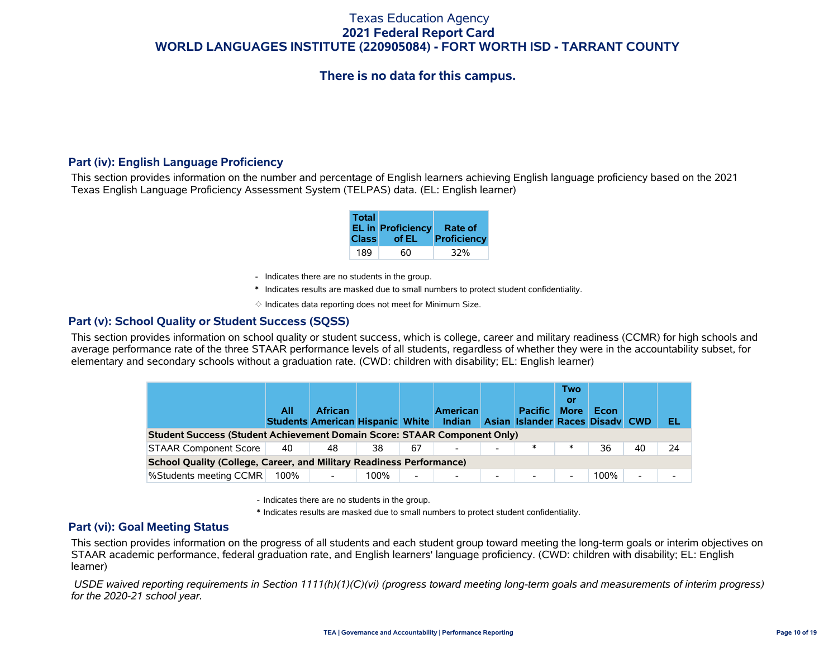# **There is no data for this campus.**

### **Part (iv): English Language Proficiency**

This section provides information on the number and percentage of English learners achieving English language proficiency based on the 2021 Texas English Language Proficiency Assessment System (TELPAS) data. (EL: English learner)

| Total<br><b>Class</b> | EL in Proficiency Rate of<br>of EL | Proficiency |
|-----------------------|------------------------------------|-------------|
| 189                   | 60                                 | 32%         |

- Indicates there are no students in the group.
- \* Indicates results are masked due to small numbers to protect student confidentiality.
- $\diamond$  Indicates data reporting does not meet for Minimum Size.

#### **Part (v): School Quality or Student Success (SQSS)**

This section provides information on school quality or student success, which is college, career and military readiness (CCMR) for high schools and average performance rate of the three STAAR performance levels of all students, regardless of whether they were in the accountability subset, for elementary and secondary schools without a graduation rate. (CWD: children with disability; EL: English learner)

|                                                                                 | All  | <b>African</b><br><b>Students American Hispanic White</b> |      |    | <b>American</b><br>Indian |                          | <b>Pacific</b><br>Asian Islander Races Disady CWD | Two<br>or<br><b>More</b> | Econ |    | EL. |
|---------------------------------------------------------------------------------|------|-----------------------------------------------------------|------|----|---------------------------|--------------------------|---------------------------------------------------|--------------------------|------|----|-----|
| <b>Student Success (Student Achievement Domain Score: STAAR Component Only)</b> |      |                                                           |      |    |                           |                          |                                                   |                          |      |    |     |
| <b>STAAR Component Score</b>                                                    | 40   | 48                                                        | 38   | 67 |                           | $\overline{\phantom{a}}$ |                                                   | $\ast$                   | 36   | 40 | 24  |
| School Quality (College, Career, and Military Readiness Performance)            |      |                                                           |      |    |                           |                          |                                                   |                          |      |    |     |
| %Students meeting CCMR                                                          | 100% |                                                           | 100% | -  | $\overline{\phantom{0}}$  | $\overline{\phantom{0}}$ |                                                   |                          | 100% | -  |     |

- Indicates there are no students in the group.

\* Indicates results are masked due to small numbers to protect student confidentiality.

### **Part (vi): Goal Meeting Status**

This section provides information on the progress of all students and each student group toward meeting the long-term goals or interim objectives on STAAR academic performance, federal graduation rate, and English learners' language proficiency. (CWD: children with disability; EL: English learner)

 *USDE waived reporting requirements in Section 1111(h)(1)(C)(vi) (progress toward meeting long-term goals and measurements of interim progress) for the 2020-21 school year.*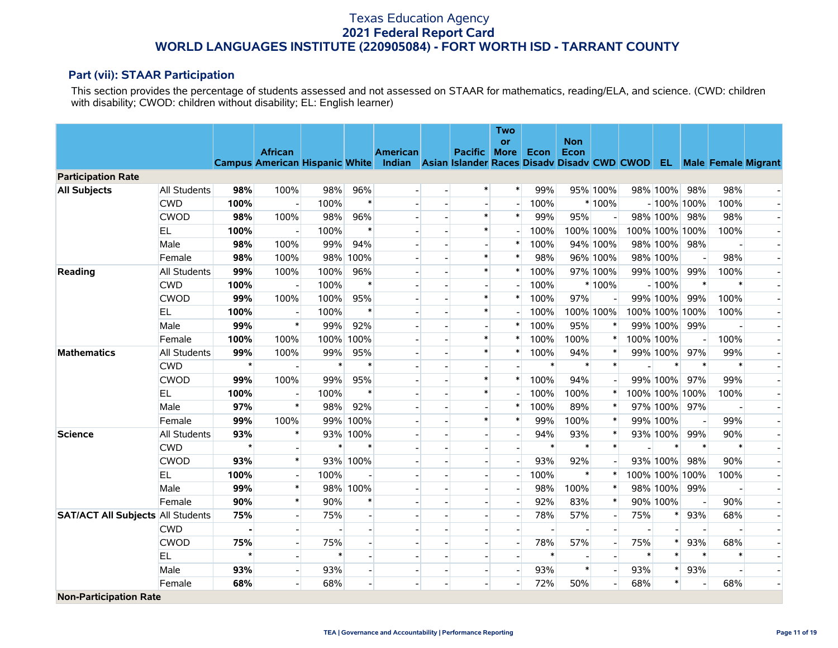### **Part (vii): STAAR Participation**

This section provides the percentage of students assessed and not assessed on STAAR for mathematics, reading/ELA, and science. (CWD: children with disability; CWOD: children without disability; EL: English learner)

|                                          |              |                |                          |        |          |                                                                                      |                          |                | <b>Two</b>               |        |                    |                          |        |                |        |                            |                          |
|------------------------------------------|--------------|----------------|--------------------------|--------|----------|--------------------------------------------------------------------------------------|--------------------------|----------------|--------------------------|--------|--------------------|--------------------------|--------|----------------|--------|----------------------------|--------------------------|
|                                          |              |                | <b>African</b>           |        |          | <b>American</b>                                                                      |                          | <b>Pacific</b> | <b>or</b><br><b>More</b> | Econ   | <b>Non</b><br>Econ |                          |        |                |        |                            |                          |
|                                          |              |                |                          |        |          | Campus American Hispanic White Indian Asian Islander Races Disadv Disadv CWD CWOD EL |                          |                |                          |        |                    |                          |        |                |        | <b>Male Female Migrant</b> |                          |
| <b>Participation Rate</b>                |              |                |                          |        |          |                                                                                      |                          |                |                          |        |                    |                          |        |                |        |                            |                          |
| <b>All Subjects</b>                      | All Students | 98%            | 100%                     | 98%    | 96%      |                                                                                      |                          | $\ast$         | $\ast$                   | 99%    |                    | 95% 100%                 |        | 98% 100%       | 98%    | 98%                        |                          |
|                                          | <b>CWD</b>   | 100%           |                          | 100%   | $\ast$   |                                                                                      |                          |                |                          | 100%   |                    | $*100%$                  |        | $-100\%$ 100%  |        | 100%                       |                          |
|                                          | <b>CWOD</b>  | 98%            | 100%                     | 98%    | 96%      |                                                                                      |                          | $\ast$         | $\ast$                   | 99%    | 95%                |                          |        | 98% 100%       | 98%    | 98%                        |                          |
|                                          | EL.          | 100%           |                          | 100%   | $\ast$   |                                                                                      |                          | $\ast$         |                          | 100%   |                    | 100% 100%                |        | 100% 100% 100% |        | 100%                       |                          |
|                                          | Male         | 98%            | 100%                     | 99%    | 94%      |                                                                                      |                          |                | $\ast$                   | 100%   |                    | 94% 100%                 |        | 98% 100%       | 98%    |                            |                          |
|                                          | Female       | 98%            | 100%                     | 98%    | 100%     |                                                                                      |                          | $\ast$         | $\ast$                   | 98%    |                    | 96% 100%                 |        | 98% 100%       |        | 98%                        |                          |
| Reading                                  | All Students | 99%            | 100%                     | 100%   | 96%      |                                                                                      |                          | $\ast$         | $\ast$                   | 100%   |                    | 97% 100%                 |        | 99% 100%       | 99%    | 100%                       |                          |
|                                          | <b>CWD</b>   | 100%           |                          | 100%   | $\ast$   |                                                                                      | $\blacksquare$           |                |                          | 100%   |                    | $*100%$                  |        | $-100%$        | $\ast$ |                            | $\overline{\phantom{a}}$ |
|                                          | <b>CWOD</b>  | 99%            | 100%                     | 100%   | 95%      |                                                                                      | $\overline{\phantom{a}}$ | $\pmb{\ast}$   | $\ast$                   | 100%   | 97%                |                          |        | 99% 100%       | 99%    | 100%                       | $\overline{a}$           |
|                                          | EL           | 100%           |                          | 100%   | $\ast$   |                                                                                      |                          | $\ast$         |                          | 100%   |                    | 100% 100%                |        | 100% 100%      | 100%   | 100%                       |                          |
|                                          | Male         | 99%            | $\ast$                   | 99%    | 92%      |                                                                                      |                          |                | $\ast$                   | 100%   | 95%                |                          |        | 99% 100%       | 99%    |                            |                          |
|                                          | Female       | 100%           | 100%                     | 100%   | 100%     |                                                                                      |                          | $\ast$         | $\ast$                   | 100%   | 100%               | $\ast$                   |        | 100% 100%      |        | 100%                       |                          |
| <b>Mathematics</b>                       | All Students | 99%            | 100%                     | 99%    | 95%      |                                                                                      | $\overline{a}$           | $\ast$         | $\ast$                   | 100%   | 94%                | $\ast$                   |        | 99% 100%       | 97%    | 99%                        |                          |
|                                          | <b>CWD</b>   | $\star$        |                          | $\ast$ | $\ast$   |                                                                                      | $\overline{\phantom{0}}$ |                |                          | $\ast$ | $\ast$             | $\ast$                   |        | $\ast$         | $\ast$ | $\ast$                     |                          |
|                                          | <b>CWOD</b>  | 99%            | 100%                     | 99%    | 95%      |                                                                                      |                          | $\ast$         | $\ast$                   | 100%   | 94%                |                          |        | 99% 100%       | 97%    | 99%                        |                          |
|                                          | <b>EL</b>    | 100%           | $\overline{\phantom{a}}$ | 100%   | $\ast$   |                                                                                      |                          | $\ast$         |                          | 100%   | 100%               | $\ast$                   |        | 100% 100% 100% |        | 100%                       |                          |
|                                          | Male         | 97%            | $\ast$                   | 98%    | 92%      |                                                                                      | $\blacksquare$           |                | $\ast$                   | 100%   | 89%                | $\ast$                   |        | 97% 100%       | 97%    |                            | $\blacksquare$           |
|                                          | Female       | 99%            | 100%                     | 99%    | 100%     |                                                                                      | $\overline{a}$           | $\ast$         | $\ast$                   | 99%    | 100%               | $\ast$                   |        | 99% 100%       |        | 99%                        |                          |
| <b>Science</b>                           | All Students | 93%            | *                        | 93%    | 100%     |                                                                                      |                          |                |                          | 94%    | 93%                | $\ast$                   |        | 93% 100%       | 99%    | 90%                        |                          |
|                                          | <b>CWD</b>   | $\star$        |                          | $\ast$ | $\ast$   |                                                                                      |                          |                |                          | $\ast$ | $\ast$             | $\ast$                   |        | ∗              | $\ast$ | $\ast$                     |                          |
|                                          | <b>CWOD</b>  | 93%            | $\ast$                   |        | 93% 100% |                                                                                      |                          |                |                          | 93%    | 92%                |                          |        | 93% 100%       | 98%    | 90%                        |                          |
|                                          | <b>EL</b>    | 100%           | $\overline{\phantom{a}}$ | 100%   |          |                                                                                      |                          |                | $\overline{\phantom{a}}$ | 100%   | $\ast$             | $\ast$                   |        | 100% 100% 100% |        | 100%                       | $\blacksquare$           |
|                                          | Male         | 99%            | $\ast$                   |        | 98% 100% |                                                                                      |                          |                |                          | 98%    | 100%               | $\ast$                   |        | 98% 100%       | 99%    |                            |                          |
|                                          | Female       | 90%            | $\ast$                   | 90%    | $\ast$   |                                                                                      |                          |                |                          | 92%    | 83%                | $\ast$                   |        | 90% 100%       |        | 90%                        |                          |
| <b>SAT/ACT All Subjects All Students</b> |              | 75%            | $\blacksquare$           | 75%    |          |                                                                                      |                          |                | $\overline{\phantom{a}}$ | 78%    | 57%                | $\overline{\phantom{a}}$ | 75%    | ∗              | 93%    | 68%                        |                          |
|                                          | <b>CWD</b>   | $\blacksquare$ | $\overline{\phantom{a}}$ |        |          |                                                                                      |                          |                |                          |        |                    | $\blacksquare$           |        |                |        |                            | $\overline{\phantom{a}}$ |
|                                          | <b>CWOD</b>  | 75%            | $\overline{a}$           | 75%    |          |                                                                                      | $\overline{a}$           |                | $\overline{\phantom{a}}$ | 78%    | 57%                | $\blacksquare$           | 75%    | $\ast$         | 93%    | 68%                        | $\overline{\phantom{0}}$ |
|                                          | EL           | $\star$        |                          | $\ast$ |          |                                                                                      |                          |                |                          | $\ast$ |                    |                          | $\ast$ | $\ast$         | $\ast$ | $\ast$                     |                          |
|                                          | Male         | 93%            |                          | 93%    |          |                                                                                      | $\overline{\phantom{a}}$ |                |                          | 93%    | $\ast$             | $\overline{a}$           | 93%    | $\ast$         | 93%    |                            |                          |
|                                          | Female       | 68%            |                          | 68%    |          |                                                                                      | $\overline{\phantom{a}}$ |                |                          | 72%    | 50%                |                          | 68%    | $\ast$         |        | 68%                        |                          |
| <b>Non-Participation Rate</b>            |              |                |                          |        |          |                                                                                      |                          |                |                          |        |                    |                          |        |                |        |                            |                          |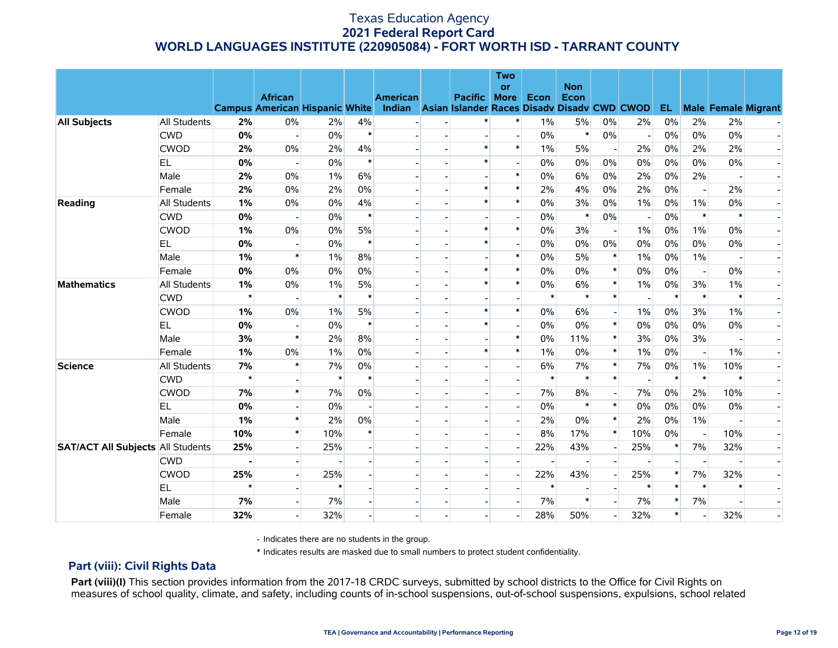|                                          |                     |         |                                                         |        |        |                                                                       |                | <b>Two</b><br>or         |        | <b>Non</b> |                          |        |        |                          |        |                            |
|------------------------------------------|---------------------|---------|---------------------------------------------------------|--------|--------|-----------------------------------------------------------------------|----------------|--------------------------|--------|------------|--------------------------|--------|--------|--------------------------|--------|----------------------------|
|                                          |                     |         | <b>African</b><br><b>Campus American Hispanic White</b> |        |        | <b>American</b><br>Indian Asian Islander Races Disady Disady CWD CWOD | <b>Pacific</b> | <b>More</b>              | Econ   | Econ       |                          |        | EL.    |                          |        | <b>Male Female Migrant</b> |
| <b>All Subjects</b>                      | <b>All Students</b> | 2%      | $0\%$                                                   | 2%     | 4%     |                                                                       |                | $\ast$                   | $1\%$  | 5%         | 0%                       | 2%     | 0%     | 2%                       | 2%     |                            |
|                                          | <b>CWD</b>          | 0%      | $\mathbf{L}$                                            | $0\%$  | $\ast$ |                                                                       |                |                          | $0\%$  | $\ast$     | $0\%$                    |        | $0\%$  | $0\%$                    | $0\%$  |                            |
|                                          | <b>CWOD</b>         | 2%      | $0\%$                                                   | 2%     | 4%     |                                                                       | $\ast$         | $\ast$                   | $1\%$  | 5%         | $\blacksquare$           | 2%     | 0%     | 2%                       | 2%     |                            |
|                                          | <b>EL</b>           | 0%      | $\overline{a}$                                          | 0%     | $\ast$ |                                                                       | $\ast$         |                          | $0\%$  | 0%         | 0%                       | 0%     | 0%     | 0%                       | 0%     |                            |
|                                          | Male                | 2%      | $0\%$                                                   | $1\%$  | 6%     |                                                                       |                | $\ast$                   | $0\%$  | 6%         | $0\%$                    | 2%     | $0\%$  | 2%                       |        |                            |
|                                          | Female              | 2%      | 0%                                                      | 2%     | 0%     |                                                                       | $\ast$         | $\ast$                   | 2%     | 4%         | 0%                       | 2%     | 0%     | $\overline{\phantom{a}}$ | 2%     |                            |
| Reading                                  | All Students        | 1%      | 0%                                                      | 0%     | 4%     |                                                                       | $\ast$         | $\ast$                   | 0%     | 3%         | 0%                       | $1\%$  | $0\%$  | $1\%$                    | 0%     |                            |
|                                          | <b>CWD</b>          | 0%      | $\blacksquare$                                          | 0%     | $\ast$ |                                                                       |                |                          | 0%     | $\ast$     | 0%                       |        | 0%     | $\ast$                   | $\ast$ |                            |
|                                          | <b>CWOD</b>         | 1%      | $0\%$                                                   | 0%     | 5%     |                                                                       | $\ast$         | $\ast$                   | 0%     | 3%         | $\overline{\phantom{a}}$ | $1\%$  | 0%     | $1\%$                    | 0%     |                            |
|                                          | <b>EL</b>           | 0%      |                                                         | 0%     | $\ast$ |                                                                       | $\ast$         |                          | $0\%$  | 0%         | 0%                       | 0%     | $0\%$  | 0%                       | 0%     |                            |
|                                          | Male                | 1%      | $\ast$                                                  | $1\%$  | 8%     |                                                                       |                | $\ast$                   | $0\%$  | 5%         | $\ast$                   | 1%     | $0\%$  | 1%                       |        |                            |
|                                          | Female              | 0%      | 0%                                                      | 0%     | 0%     |                                                                       | $\ast$         | $\ast$                   | 0%     | 0%         | $\ast$                   | 0%     | 0%     | $\overline{a}$           | 0%     |                            |
| <b>Mathematics</b>                       | All Students        | 1%      | $0\%$                                                   | $1\%$  | 5%     |                                                                       | $\ast$         | $\ast$                   | 0%     | 6%         | $\ast$                   | $1\%$  | $0\%$  | 3%                       | $1\%$  |                            |
|                                          | <b>CWD</b>          | $\star$ |                                                         | $\ast$ | $\ast$ |                                                                       |                |                          | $\ast$ | $\ast$     | $\ast$                   |        | $\ast$ | $\ast$                   | $\ast$ |                            |
|                                          | <b>CWOD</b>         | 1%      | $0\%$                                                   | $1\%$  | 5%     |                                                                       | $\ast$         | $\ast$                   | $0\%$  | 6%         | $\blacksquare$           | $1\%$  | 0%     | 3%                       | $1\%$  |                            |
|                                          | EL                  | 0%      | $\overline{\phantom{a}}$                                | 0%     | $\ast$ |                                                                       | $\ast$         |                          | $0\%$  | $0\%$      | $\ast$                   | 0%     | 0%     | 0%                       | 0%     |                            |
|                                          | Male                | 3%      | $\ast$                                                  | 2%     | 8%     |                                                                       |                | $\ast$                   | $0\%$  | 11%        | $\ast$                   | 3%     | $0\%$  | 3%                       |        |                            |
|                                          | Female              | 1%      | $0\%$                                                   | $1\%$  | 0%     |                                                                       | $\ast$         | $\ast$                   | $1\%$  | 0%         | $\ast$                   | $1\%$  | 0%     | $\overline{a}$           | $1\%$  |                            |
| <b>Science</b>                           | All Students        | 7%      | $\ast$                                                  | 7%     | 0%     |                                                                       |                | $\overline{\phantom{a}}$ | 6%     | 7%         | $\ast$                   | $7\%$  | $0\%$  | $1\%$                    | 10%    |                            |
|                                          | <b>CWD</b>          | $\star$ |                                                         | $\ast$ | $\ast$ |                                                                       |                |                          | $\ast$ | $\ast$     | $\ast$                   |        | $\ast$ | $\ast$                   | $\ast$ |                            |
|                                          | <b>CWOD</b>         | 7%      | $\ast$                                                  | 7%     | 0%     |                                                                       |                |                          | 7%     | 8%         |                          | 7%     | $0\%$  | 2%                       | 10%    |                            |
|                                          | EL                  | 0%      |                                                         | 0%     |        |                                                                       |                |                          | $0\%$  | $\ast$     | $\ast$                   | 0%     | 0%     | 0%                       | 0%     |                            |
|                                          | Male                | 1%      | $\ast$                                                  | 2%     | 0%     |                                                                       |                | $\overline{\phantom{a}}$ | 2%     | $0\%$      | $\ast$                   | 2%     | 0%     | $1\%$                    |        |                            |
|                                          | Female              | 10%     | $\ast$                                                  | 10%    | $\ast$ |                                                                       |                |                          | 8%     | 17%        | $\ast$                   | 10%    | 0%     | $\overline{a}$           | 10%    |                            |
| <b>SAT/ACT All Subjects All Students</b> |                     | 25%     |                                                         | 25%    |        |                                                                       |                | $\overline{\phantom{a}}$ | 22%    | 43%        | $\overline{\phantom{a}}$ | 25%    | $\ast$ | 7%                       | 32%    |                            |
|                                          | <b>CWD</b>          |         |                                                         |        |        |                                                                       |                |                          |        |            |                          |        |        |                          |        |                            |
|                                          | <b>CWOD</b>         | 25%     | $\overline{a}$                                          | 25%    |        |                                                                       |                | $\overline{\phantom{a}}$ | 22%    | 43%        | $\blacksquare$           | 25%    | $\ast$ | 7%                       | 32%    |                            |
|                                          | EL                  | $\star$ |                                                         |        |        |                                                                       |                |                          | $\ast$ |            |                          | $\ast$ | $\ast$ | $\ast$                   | $\ast$ |                            |
|                                          | Male                | 7%      |                                                         | 7%     |        |                                                                       |                |                          | 7%     | $\ast$     |                          | 7%     | $\ast$ | 7%                       |        |                            |
|                                          | Female              | 32%     |                                                         | 32%    |        |                                                                       |                |                          | 28%    | 50%        |                          | 32%    | $\ast$ |                          | 32%    |                            |

- Indicates there are no students in the group.

\* Indicates results are masked due to small numbers to protect student confidentiality.

### **Part (viii): Civil Rights Data**

Part (viii)(I) This section provides information from the 2017-18 CRDC surveys, submitted by school districts to the Office for Civil Rights on measures of school quality, climate, and safety, including counts of in-school suspensions, out-of-school suspensions, expulsions, school related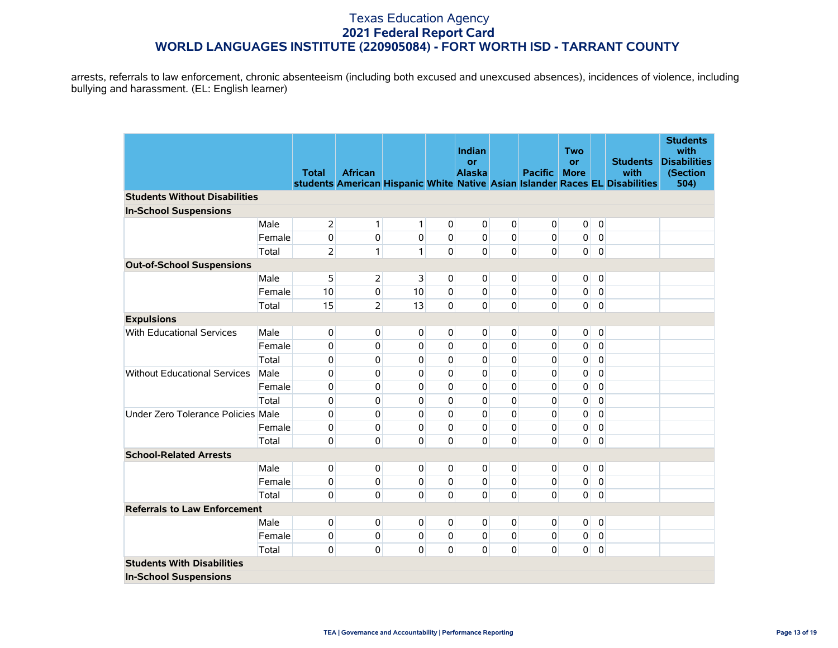arrests, referrals to law enforcement, chronic absenteeism (including both excused and unexcused absences), incidences of violence, including bullying and harassment. (EL: English learner)

|                                      |        |                |                |                |                | <b>Indian</b>       |             |                | <b>Two</b>               |                |                                                                              | <b>Students</b><br>with         |
|--------------------------------------|--------|----------------|----------------|----------------|----------------|---------------------|-------------|----------------|--------------------------|----------------|------------------------------------------------------------------------------|---------------------------------|
|                                      |        | <b>Total</b>   | <b>African</b> |                |                | or<br><b>Alaska</b> |             | <b>Pacific</b> | <b>or</b><br><b>More</b> |                | <b>Students</b><br>with                                                      | <b>Disabilities</b><br>(Section |
|                                      |        |                |                |                |                |                     |             |                |                          |                | students American Hispanic White Native Asian Islander Races EL Disabilities | 504)                            |
| <b>Students Without Disabilities</b> |        |                |                |                |                |                     |             |                |                          |                |                                                                              |                                 |
| <b>In-School Suspensions</b>         |        |                |                |                |                |                     |             |                |                          |                |                                                                              |                                 |
|                                      | Male   | $\overline{2}$ | 1              | $\mathbf{1}$   | $\overline{0}$ | $\overline{0}$      | 0           | $\overline{0}$ | $\pmb{0}$                | 0              |                                                                              |                                 |
|                                      | Female | 0              | 0              | 0              | $\overline{0}$ | $\overline{0}$      | $\mathbf 0$ | $\overline{0}$ | 0                        | $\overline{0}$ |                                                                              |                                 |
|                                      | Total  | $\overline{2}$ | 1              | $\mathbf{1}$   | $\Omega$       | $\overline{0}$      | $\mathbf 0$ | $\Omega$       | $\mathbf{0}$             | $\mathbf 0$    |                                                                              |                                 |
| <b>Out-of-School Suspensions</b>     |        |                |                |                |                |                     |             |                |                          |                |                                                                              |                                 |
|                                      | Male   | 5              | $\overline{2}$ | $\overline{3}$ | $\overline{0}$ | $\overline{0}$      | 0           | $\overline{0}$ | $\mathbf 0$              | $\mathbf 0$    |                                                                              |                                 |
|                                      | Female | 10             | 0              | 10             | $\Omega$       | $\overline{0}$      | $\mathbf 0$ | $\overline{0}$ | $\pmb{0}$                | $\overline{0}$ |                                                                              |                                 |
|                                      | Total  | 15             | $\overline{2}$ | 13             | $\Omega$       | $\overline{0}$      | $\mathbf 0$ | $\mathbf 0$    | $\Omega$                 | $\mathbf 0$    |                                                                              |                                 |
| <b>Expulsions</b>                    |        |                |                |                |                |                     |             |                |                          |                |                                                                              |                                 |
| With Educational Services            | Male   | 0              | 0              | $\mathbf 0$    | $\overline{0}$ | $\overline{0}$      | 0           | $\overline{0}$ | $\mathbf{0}$             | $\mathbf 0$    |                                                                              |                                 |
|                                      | Female | 0              | 0              | $\mathbf{0}$   | 0              | 0                   | 0           | 0              | 0                        | 0              |                                                                              |                                 |
|                                      | Total  | 0              | 0              | 0              | $\Omega$       | 0                   | $\mathbf 0$ | 0              | 0                        | $\mathbf 0$    |                                                                              |                                 |
| <b>Without Educational Services</b>  | Male   | 0              | 0              | 0              | $\Omega$       | $\Omega$            | $\mathbf 0$ | 0              | $\pmb{0}$                | 0              |                                                                              |                                 |
|                                      | Female | 0              | 0              | 0              | $\Omega$       | 0                   | $\mathbf 0$ | $\mathbf 0$    | 0                        | $\pmb{0}$      |                                                                              |                                 |
|                                      | Total  | 0              | 0              | $\mathbf{0}$   | 0              | 0                   | 0           | 0              | 0                        | 0              |                                                                              |                                 |
| Under Zero Tolerance Policies Male   |        | 0              | 0              | 0              | $\Omega$       | 0                   | $\mathbf 0$ | $\mathbf 0$    | $\pmb{0}$                | 0              |                                                                              |                                 |
|                                      | Female | 0              | $\mathbf{0}$   | $\Omega$       | $\Omega$       | $\Omega$            | $\pmb{0}$   | $\overline{0}$ | 0                        | $\mathbf 0$    |                                                                              |                                 |
|                                      | Total  | 0              | $\mathbf 0$    | $\Omega$       | $\Omega$       | $\overline{0}$      | $\mathbf 0$ | $\Omega$       | $\mathbf{0}$             | $\mathbf 0$    |                                                                              |                                 |
| <b>School-Related Arrests</b>        |        |                |                |                |                |                     |             |                |                          |                |                                                                              |                                 |
|                                      | Male   | 0              | 0              | 0              | $\overline{0}$ | 0                   | $\mathbf 0$ | $\overline{0}$ | $\mathbf 0$              | $\pmb{0}$      |                                                                              |                                 |
|                                      | Female | 0              | $\mathbf{0}$   | 0              | $\mathbf{0}$   | $\mathbf{0}$        | 0           | $\overline{0}$ | 0                        | $\mathbf 0$    |                                                                              |                                 |
|                                      | Total  | 0              | $\mathbf{0}$   | $\Omega$       | 0              | $\overline{0}$      | $\mathbf 0$ | $\Omega$       | $\mathbf{0}$             | $\mathbf 0$    |                                                                              |                                 |
| <b>Referrals to Law Enforcement</b>  |        |                |                |                |                |                     |             |                |                          |                |                                                                              |                                 |
|                                      | Male   | 0              | 0              | $\overline{0}$ | 0              | 0                   | 0           | $\overline{0}$ | $\mathbf 0$              | $\overline{0}$ |                                                                              |                                 |
|                                      | Female | 0              | 0              | 0              | $\overline{0}$ | 0                   | 0           | 0              | 0                        | 0              |                                                                              |                                 |
|                                      | Total  | 0              | 0              | 0              | $\mathbf{0}$   | $\mathbf{0}$        | 0           | $\overline{0}$ | $\mathbf 0$              | 0              |                                                                              |                                 |
| <b>Students With Disabilities</b>    |        |                |                |                |                |                     |             |                |                          |                |                                                                              |                                 |
| <b>In-School Suspensions</b>         |        |                |                |                |                |                     |             |                |                          |                |                                                                              |                                 |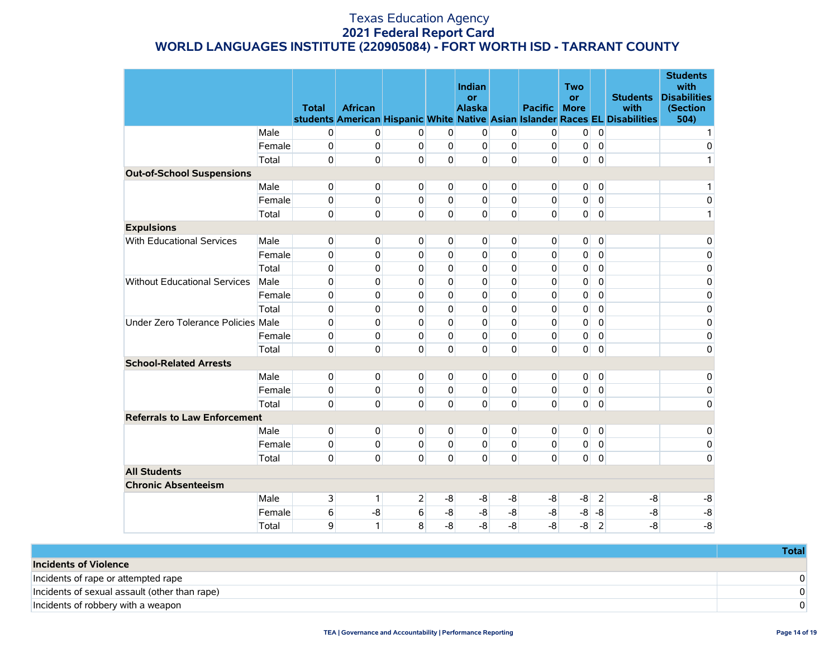|                                     |        | <b>Total</b> | <b>African</b> |                |                | Indian<br>or<br><b>Alaska</b> |             | <b>Pacific</b> | <b>Two</b><br><b>or</b><br><b>More</b> |                | <b>Students</b><br>with<br>students American Hispanic White Native Asian Islander Races EL Disabilities | <b>Students</b><br>with<br><b>Disabilities</b><br>(Section<br>504) |
|-------------------------------------|--------|--------------|----------------|----------------|----------------|-------------------------------|-------------|----------------|----------------------------------------|----------------|---------------------------------------------------------------------------------------------------------|--------------------------------------------------------------------|
|                                     | Male   | $\mathbf 0$  | 0              | $\mathbf{0}$   | $\mathbf 0$    | 0                             | $\mathbf 0$ | $\mathbf 0$    | 0                                      | $\mathbf 0$    |                                                                                                         | $\mathbf{1}$                                                       |
|                                     | Female | 0            | 0              | 0              | $\mathbf{0}$   | $\overline{0}$                | $\mathbf 0$ | $\mathbf 0$    | 0                                      | $\overline{0}$ |                                                                                                         | 0                                                                  |
|                                     | Total  | $\Omega$     | $\Omega$       | $\Omega$       | $\Omega$       | $\Omega$                      | $\mathbf 0$ | $\Omega$       | 0                                      | $\mathbf 0$    |                                                                                                         | 1                                                                  |
| <b>Out-of-School Suspensions</b>    |        |              |                |                |                |                               |             |                |                                        |                |                                                                                                         |                                                                    |
|                                     | Male   | $\mathbf{0}$ | $\Omega$       | $\Omega$       | $\mathbf{0}$   | $\Omega$                      | 0           | 0              | 0                                      | $\overline{0}$ |                                                                                                         | 1                                                                  |
|                                     | Female | 0            | 0              | $\Omega$       | $\mathbf{0}$   | $\Omega$                      | $\Omega$    | 0              | 0                                      | $\overline{0}$ |                                                                                                         | $\mathbf 0$                                                        |
|                                     | Total  | $\mathbf{0}$ | $\Omega$       | $\mathbf{0}$   | $\Omega$       | $\Omega$                      | $\mathbf 0$ | $\Omega$       | $\overline{0}$                         | $\mathbf 0$    |                                                                                                         | 1                                                                  |
| <b>Expulsions</b>                   |        |              |                |                |                |                               |             |                |                                        |                |                                                                                                         |                                                                    |
| <b>With Educational Services</b>    | Male   | $\mathbf 0$  | 0              | 0              | $\overline{0}$ | $\overline{0}$                | $\mathbf 0$ | $\mathbf 0$    | 0                                      | $\mathbf 0$    |                                                                                                         | 0                                                                  |
|                                     | Female | $\mathbf 0$  | 0              | $\mathbf{0}$   | $\mathbf 0$    | $\Omega$                      | $\mathbf 0$ | $\mathbf 0$    | 0                                      | $\mathbf 0$    |                                                                                                         | 0                                                                  |
|                                     | Total  | 0            | 0              | 0              | $\mathbf 0$    | $\Omega$                      | $\mathbf 0$ | $\mathbf 0$    | 0                                      | $\mathbf 0$    |                                                                                                         | 0                                                                  |
| <b>Without Educational Services</b> | Male   | $\mathbf 0$  | 0              | $\Omega$       | $\mathbf{0}$   | $\Omega$                      | $\Omega$    | 0              | 0                                      | $\overline{0}$ |                                                                                                         | $\mathbf 0$                                                        |
|                                     | Female | 0            | 0              | 0              | $\Omega$       | 0                             | 0           | 0              | 0                                      | 0              |                                                                                                         | 0                                                                  |
|                                     | Total  | $\mathbf 0$  | 0              | 0              | $\Omega$       | $\Omega$                      | $\Omega$    | $\mathbf 0$    | 0                                      | $\mathbf 0$    |                                                                                                         | 0                                                                  |
| Under Zero Tolerance Policies Male  |        | 0            | 0              | $\Omega$       | $\Omega$       | $\Omega$                      | $\Omega$    | 0              | 0                                      | $\mathbf{0}$   |                                                                                                         | 0                                                                  |
|                                     | Female | $\mathbf 0$  | 0              | $\mathbf{0}$   | $\Omega$       | $\Omega$                      | $\Omega$    | $\mathbf 0$    | 0                                      | 0              |                                                                                                         | $\mathbf 0$                                                        |
|                                     | Total  | $\mathbf{0}$ | $\Omega$       | $\Omega$       | $\Omega$       | $\Omega$                      | $\Omega$    | $\Omega$       | $\overline{0}$                         | $\mathbf 0$    |                                                                                                         | $\mathbf 0$                                                        |
| <b>School-Related Arrests</b>       |        |              |                |                |                |                               |             |                |                                        |                |                                                                                                         |                                                                    |
|                                     | Male   | 0            | 0              | 0              | $\mathbf 0$    | 0                             | 0           | 0              | 0                                      | $\pmb{0}$      |                                                                                                         | $\pmb{0}$                                                          |
|                                     | Female | 0            | 0              | $\mathbf{0}$   | $\mathbf 0$    | $\Omega$                      | $\mathbf 0$ | $\mathbf 0$    | 0                                      | $\overline{0}$ |                                                                                                         | $\mathbf 0$                                                        |
|                                     | Total  | $\Omega$     | $\Omega$       | $\mathbf{0}$   | $\mathbf 0$    | $\overline{0}$                | $\mathbf 0$ | $\mathbf 0$    | $\mathbf{0}$                           | $\mathbf 0$    |                                                                                                         | $\mathbf 0$                                                        |
| <b>Referrals to Law Enforcement</b> |        |              |                |                |                |                               |             |                |                                        |                |                                                                                                         |                                                                    |
|                                     | Male   | $\mathbf 0$  | 0              | 0              | $\mathbf 0$    | 0                             | $\mathbf 0$ | $\mathbf 0$    | 0                                      | $\mathbf 0$    |                                                                                                         | $\pmb{0}$                                                          |
|                                     | Female | 0            | 0              | 0              | $\mathbf 0$    | 0                             | $\mathbf 0$ | 0              | 0                                      | 0              |                                                                                                         | 0                                                                  |
|                                     | Total  | $\Omega$     | $\Omega$       | $\Omega$       | $\Omega$       | $\Omega$                      | $\Omega$    | $\mathbf 0$    | $\overline{0}$                         | $\mathbf 0$    |                                                                                                         | $\mathbf 0$                                                        |
| <b>All Students</b>                 |        |              |                |                |                |                               |             |                |                                        |                |                                                                                                         |                                                                    |
| <b>Chronic Absenteeism</b>          |        |              |                |                |                |                               |             |                |                                        |                |                                                                                                         |                                                                    |
|                                     | Male   | 3            | 1              | $\overline{2}$ | -8             | -8                            | -8          | -8             | -8                                     | $\overline{2}$ | -8                                                                                                      | -8                                                                 |
|                                     | Female | 6            | -8             | 6              | -8             | $-8$                          | $-8$        | -8             | $-8$                                   | $-8$           | $-8$                                                                                                    | $-8$                                                               |
|                                     | Total  | 9            | $\mathbf{1}$   | 8              | $-8$           | $-8$                          | $-8$        | $-8$           | $-8$                                   | $\overline{2}$ | $-8$                                                                                                    | $-8$                                                               |

|                                               | Total |
|-----------------------------------------------|-------|
| <b>Incidents of Violence</b>                  |       |
| Incidents of rape or attempted rape           |       |
| Incidents of sexual assault (other than rape) |       |
| Incidents of robbery with a weapon            |       |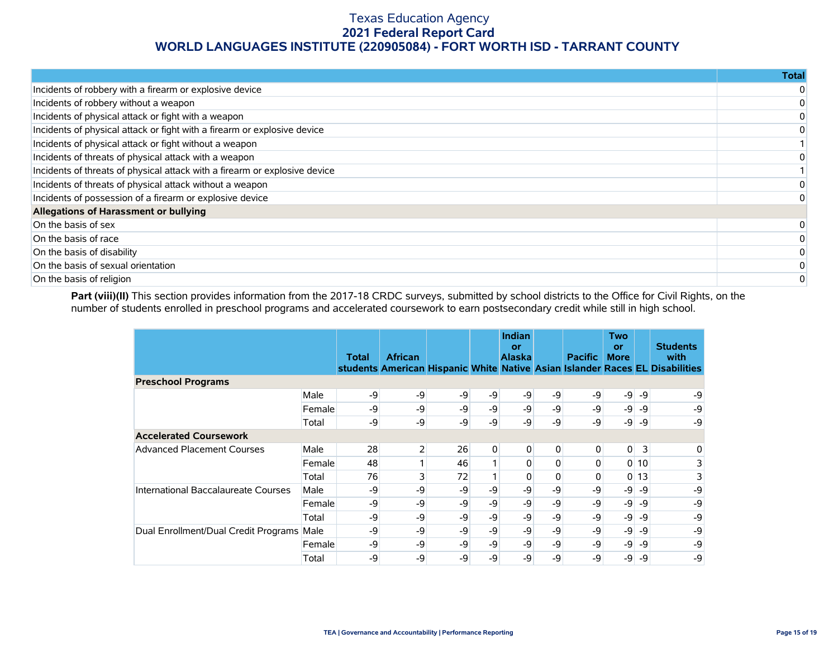|                                                                            | Total |
|----------------------------------------------------------------------------|-------|
| Incidents of robbery with a firearm or explosive device                    |       |
| Incidents of robbery without a weapon                                      |       |
| Incidents of physical attack or fight with a weapon                        |       |
| Incidents of physical attack or fight with a firearm or explosive device   |       |
| Incidents of physical attack or fight without a weapon                     |       |
| Incidents of threats of physical attack with a weapon                      |       |
| Incidents of threats of physical attack with a firearm or explosive device |       |
| Incidents of threats of physical attack without a weapon                   |       |
| Incidents of possession of a firearm or explosive device                   |       |
| Allegations of Harassment or bullying                                      |       |
| On the basis of sex                                                        |       |
| On the basis of race                                                       |       |
| On the basis of disability                                                 |       |
| On the basis of sexual orientation                                         |       |
| On the basis of religion                                                   |       |

Part (viii)(II) This section provides information from the 2017-18 CRDC surveys, submitted by school districts to the Office for Civil Rights, on the number of students enrolled in preschool programs and accelerated coursework to earn postsecondary credit while still in high school.

|                                           |        | <b>Total</b> | <b>African</b> |    |              | Indian<br>or<br><b>Alaska</b> |          | <b>Pacific</b> | <b>Two</b><br>or<br><b>More</b> |                 | <b>Students</b><br>with<br>students American Hispanic White Native Asian Islander Races EL Disabilities |
|-------------------------------------------|--------|--------------|----------------|----|--------------|-------------------------------|----------|----------------|---------------------------------|-----------------|---------------------------------------------------------------------------------------------------------|
| <b>Preschool Programs</b>                 |        |              |                |    |              |                               |          |                |                                 |                 |                                                                                                         |
|                                           | Male   | -9           | -9             | -9 | -9           | -9                            | -9       | $-9$           | $-9$                            | $-9$            | -9                                                                                                      |
|                                           | Female | -9           | -9             | -9 | $-9$         | -9                            | $-9$     | $-9$           | -9                              | -9              | -9                                                                                                      |
|                                           | Total  | -9           | -9             | -9 | $-9'$        | -9                            | -9       | -9             | $-9$                            | -9              | -9                                                                                                      |
| <b>Accelerated Coursework</b>             |        |              |                |    |              |                               |          |                |                                 |                 |                                                                                                         |
| <b>Advanced Placement Courses</b>         | Male   | 28           | $\mathsf{2}$   | 26 | $\mathbf{0}$ | $\overline{0}$                | 0        | $\overline{0}$ | $\overline{0}$                  | 3               | 0                                                                                                       |
|                                           | Female | 48           |                | 46 |              | $\Omega$                      | $\Omega$ | $\Omega$       |                                 | 010             | 3                                                                                                       |
|                                           | Total  | 76           | 3              | 72 |              | $\Omega$                      | 0        | $\Omega$       |                                 | 0 <sub>13</sub> | 3                                                                                                       |
| International Baccalaureate Courses       | Male   | -9           | -9             | -9 | $-9$         | -9                            | -9       | -9             | -9                              | $-9$            | -9                                                                                                      |
|                                           | Female | -9           | -9             | -9 | -9           | -9                            | -9       | -9             | -9                              | -9              | -9                                                                                                      |
|                                           | Total  | -9           | -9             | -9 | -9           | -9                            | -9       | -9             | -9                              | -9              | -9                                                                                                      |
| Dual Enrollment/Dual Credit Programs Male |        | -9           | -9             | -9 | -9           | -9                            | -9       | -9             | $-9$                            | -9              | -9                                                                                                      |
|                                           | Female | -9           | -9             | -9 | $-9$         | -9                            | -9       | -9             | -9                              | -9              | -9                                                                                                      |
|                                           | Total  | -9           | -9             | -9 | $-9$         | -9                            | -9       | -9             | -9                              | -9              | -9                                                                                                      |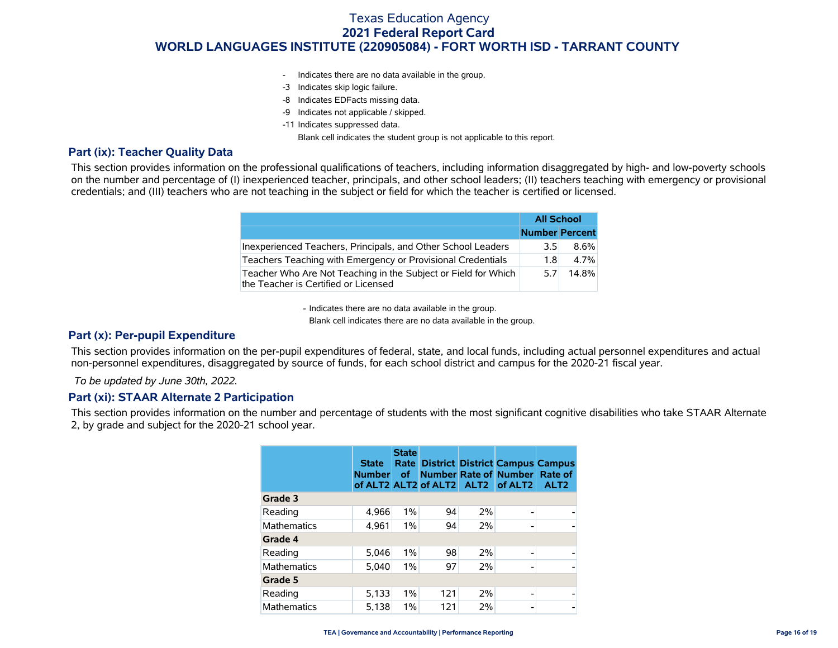- Indicates there are no data available in the group.
- -3 Indicates skip logic failure.
- -8 Indicates EDFacts missing data.
- -9 Indicates not applicable / skipped.
- -11 Indicates suppressed data.

Blank cell indicates the student group is not applicable to this report.

### **Part (ix): Teacher Quality Data**

This section provides information on the professional qualifications of teachers, including information disaggregated by high- and low-poverty schools on the number and percentage of (I) inexperienced teacher, principals, and other school leaders; (II) teachers teaching with emergency or provisional credentials; and (III) teachers who are not teaching in the subject or field for which the teacher is certified or licensed.

|                                                                                                        | <b>All School</b>     |         |
|--------------------------------------------------------------------------------------------------------|-----------------------|---------|
|                                                                                                        | <b>Number Percent</b> |         |
| Inexperienced Teachers, Principals, and Other School Leaders                                           | 3.5                   | $8.6\%$ |
| Teachers Teaching with Emergency or Provisional Credentials                                            | 1.8                   | 4.7%    |
| Teacher Who Are Not Teaching in the Subject or Field for Which<br>the Teacher is Certified or Licensed | 5.7                   | 14.8%   |

- Indicates there are no data available in the group.

Blank cell indicates there are no data available in the group.

### **Part (x): Per-pupil Expenditure**

This section provides information on the per-pupil expenditures of federal, state, and local funds, including actual personnel expenditures and actual non-personnel expenditures, disaggregated by source of funds, for each school district and campus for the 2020-21 fiscal year.

 *To be updated by June 30th, 2022.*

#### **Part (xi): STAAR Alternate 2 Participation**

This section provides information on the number and percentage of students with the most significant cognitive disabilities who take STAAR Alternate 2, by grade and subject for the 2020-21 school year.

|                    | <b>State</b><br><b>Number</b> | <b>State</b><br>Rate  <br>of. |     |    | <b>District District Campus Campus</b><br>Number Rate of Number Rate of<br>of ALT2 ALT2 of ALT2 ALT2 of ALT2 | ALT <sub>2</sub> |
|--------------------|-------------------------------|-------------------------------|-----|----|--------------------------------------------------------------------------------------------------------------|------------------|
| Grade 3            |                               |                               |     |    |                                                                                                              |                  |
| Reading            | 4,966                         | $1\%$                         | 94  | 2% |                                                                                                              |                  |
| <b>Mathematics</b> | 4,961                         | $1\%$                         | 94  | 2% |                                                                                                              |                  |
| Grade 4            |                               |                               |     |    |                                                                                                              |                  |
| Reading            | 5.046                         | $1\%$                         | 98  | 2% |                                                                                                              |                  |
| <b>Mathematics</b> | 5.040                         | $1\%$                         | 97  | 2% |                                                                                                              | $\overline{a}$   |
| Grade 5            |                               |                               |     |    |                                                                                                              |                  |
| Reading            | 5,133                         | $1\%$                         | 121 | 2% |                                                                                                              |                  |
| <b>Mathematics</b> | 5,138                         | $1\%$                         | 121 | 2% |                                                                                                              | $\overline{a}$   |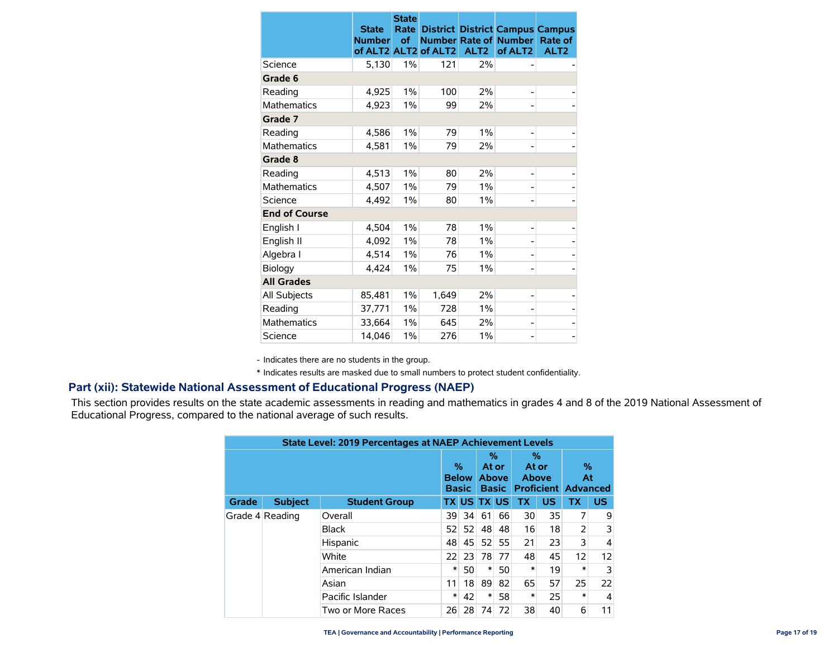|                      | <b>State</b><br><b>Number</b><br>of ALT2 ALT2 | <b>State</b><br>Rate<br><b>of</b> | of ALT2 | ALT <sub>2</sub> | <b>District District Campus Campus</b><br><b>Number Rate of Number</b><br>of ALT <sub>2</sub> | Rate of<br>ALT <sub>2</sub> |
|----------------------|-----------------------------------------------|-----------------------------------|---------|------------------|-----------------------------------------------------------------------------------------------|-----------------------------|
| Science              | 5,130                                         | 1%                                | 121     | 2%               |                                                                                               |                             |
| Grade 6              |                                               |                                   |         |                  |                                                                                               |                             |
| Reading              | 4,925                                         | 1%                                | 100     | 2%               |                                                                                               |                             |
| <b>Mathematics</b>   | 4,923                                         | 1%                                | 99      | 2%               |                                                                                               |                             |
| Grade 7              |                                               |                                   |         |                  |                                                                                               |                             |
| Reading              | 4,586                                         | $1\%$                             | 79      | $1\%$            |                                                                                               |                             |
| <b>Mathematics</b>   | 4.581                                         | 1%                                | 79      | 2%               |                                                                                               |                             |
| Grade 8              |                                               |                                   |         |                  |                                                                                               |                             |
| Reading              | 4,513                                         | $1\%$                             | 80      | 2%               |                                                                                               |                             |
| <b>Mathematics</b>   | 4,507                                         | $1\%$                             | 79      | $1\%$            |                                                                                               |                             |
| Science              | 4.492                                         | $1\%$                             | 80      | $1\%$            |                                                                                               |                             |
| <b>End of Course</b> |                                               |                                   |         |                  |                                                                                               |                             |
| English I            | 4,504                                         | $1\%$                             | 78      | $1\%$            |                                                                                               |                             |
| English II           | 4,092                                         | 1%                                | 78      | 1%               |                                                                                               |                             |
| Algebra I            | 4,514                                         | 1%                                | 76      | 1%               |                                                                                               |                             |
| Biology              | 4,424                                         | 1%                                | 75      | 1%               |                                                                                               |                             |
| <b>All Grades</b>    |                                               |                                   |         |                  |                                                                                               |                             |
| All Subjects         | 85,481                                        | 1%                                | 1,649   | 2%               |                                                                                               |                             |
| Reading              | 37,771                                        | 1%                                | 728     | 1%               |                                                                                               |                             |
| <b>Mathematics</b>   | 33,664                                        | 1%                                | 645     | 2%               |                                                                                               |                             |
| Science              | 14.046                                        | 1%                                | 276     | 1%               |                                                                                               |                             |

- Indicates there are no students in the group.

\* Indicates results are masked due to small numbers to protect student confidentiality.

### **Part (xii): Statewide National Assessment of Educational Progress (NAEP)**

This section provides results on the state academic assessments in reading and mathematics in grades 4 and 8 of the 2019 National Assessment of Educational Progress, compared to the national average of such results.

|       | <b>State Level: 2019 Percentages at NAEP Achievement Levels</b> |                      |    |                                   |                                            |    |                                                   |           |            |           |  |  |  |              |    |    |    |    |    |    |   |   |
|-------|-----------------------------------------------------------------|----------------------|----|-----------------------------------|--------------------------------------------|----|---------------------------------------------------|-----------|------------|-----------|--|--|--|--------------|----|----|----|----|----|----|---|---|
|       |                                                                 |                      |    | %<br><b>Below</b><br><b>Basic</b> | %<br>At or<br><b>Above</b><br><b>Basic</b> |    | %<br>At or<br>Above<br><b>Proficient Advanced</b> |           | $\%$<br>At |           |  |  |  |              |    |    |    |    |    |    |   |   |
| Grade | <b>Subject</b>                                                  | <b>Student Group</b> |    |                                   | <b>TX US TX US</b>                         |    | <b>TX</b>                                         | <b>US</b> | <b>TX</b>  | <b>US</b> |  |  |  |              |    |    |    |    |    |    |   |   |
|       | Grade 4 Reading                                                 | Overall              | 39 | 34                                | 61                                         | 66 | 30                                                | 35        | 7          | 9         |  |  |  |              |    |    |    |    |    |    |   |   |
|       |                                                                 |                      |    |                                   |                                            |    |                                                   |           |            |           |  |  |  | <b>Black</b> | 52 | 52 | 48 | 48 | 16 | 18 | 2 | 3 |
|       |                                                                 | Hispanic             | 48 | 45                                | 52                                         | 55 | 21                                                | 23        | 3          | 4         |  |  |  |              |    |    |    |    |    |    |   |   |
|       |                                                                 | White                | 22 | 23                                | 78                                         | 77 | 48                                                | 45        | 12         | 12        |  |  |  |              |    |    |    |    |    |    |   |   |
|       |                                                                 | American Indian      | ∗  | 50                                | ∗                                          | 50 | $\ast$                                            | 19        | *          | 3         |  |  |  |              |    |    |    |    |    |    |   |   |
|       |                                                                 | Asian                | 11 | 18                                | 89                                         | 82 | 65                                                | 57        | 25         | 22        |  |  |  |              |    |    |    |    |    |    |   |   |
|       |                                                                 | Pacific Islander     | ∗  | 42                                | ∗                                          | 58 | $\ast$                                            | 25        | $\ast$     | 4         |  |  |  |              |    |    |    |    |    |    |   |   |
|       |                                                                 | Two or More Races    | 26 | 28                                | 74                                         | 72 | 38                                                | 40        | 6          | 11        |  |  |  |              |    |    |    |    |    |    |   |   |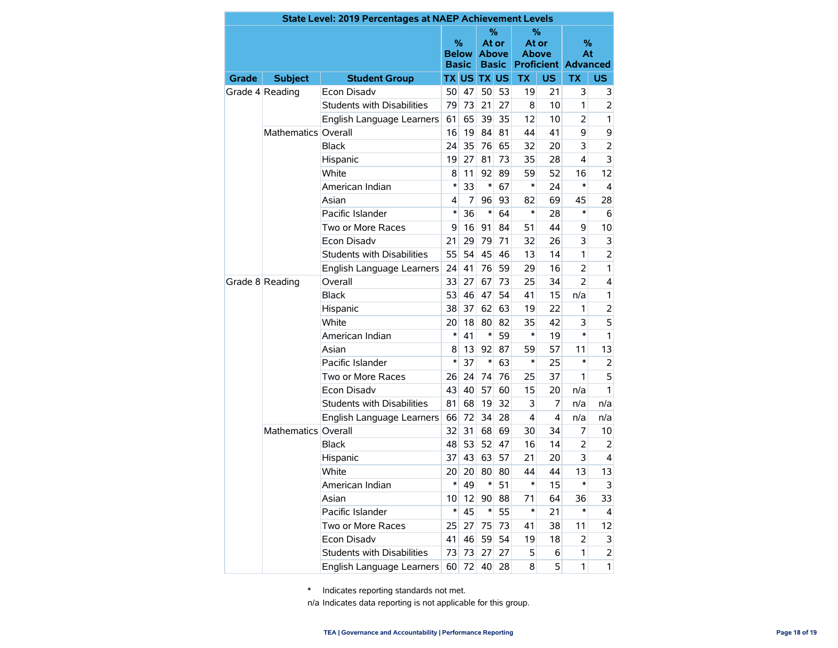|                 |                     | <b>State Level: 2019 Percentages at NAEP Achievement Levels</b> |        |                              |                    |                                   |                       |                |                                       |                |
|-----------------|---------------------|-----------------------------------------------------------------|--------|------------------------------|--------------------|-----------------------------------|-----------------------|----------------|---------------------------------------|----------------|
|                 |                     |                                                                 | %      | <b>Below</b><br><b>Basic</b> | At or              | ℅<br><b>Above</b><br><b>Basic</b> | At or<br><b>Above</b> | %              | %<br>At<br><b>Proficient Advanced</b> |                |
| Grade           | <b>Subject</b>      | <b>Student Group</b>                                            |        |                              | <b>TX US TX US</b> |                                   | <b>TX</b>             | US.            | <b>TX</b>                             | <b>US</b>      |
|                 | Grade 4 Reading     | Econ Disadv                                                     | 50     | 47                           | 50                 | 53                                | 19                    | 21             | 3                                     | 3              |
|                 |                     | <b>Students with Disabilities</b>                               | 79     | 73                           | 21                 | 27                                | 8                     | 10             | 1                                     | $\overline{2}$ |
|                 |                     | English Language Learners                                       | 61     | 65                           | 39                 | 35                                | 12                    | 10             | 2                                     | 1              |
|                 | Mathematics Overall |                                                                 | 16     | 19                           | 84                 | 81                                | 44                    | 41             | 9                                     | 9              |
|                 |                     | <b>Black</b>                                                    | 24     | 35                           | 76                 | 65                                | 32                    | 20             | 3                                     | $\overline{2}$ |
|                 |                     | Hispanic                                                        | 19     | 27                           | 81                 | 73                                | 35                    | 28             | 4                                     | 3              |
|                 |                     | White                                                           | 8      | 11                           | 92                 | 89                                | 59                    | 52             | 16                                    | 12             |
|                 |                     | American Indian                                                 | $\ast$ | 33                           | $\ast$             | 67                                | *                     | 24             | $\ast$                                | 4              |
|                 |                     | Asian                                                           | 4      | 7                            | 96                 | 93                                | 82                    | 69             | 45                                    | 28             |
|                 |                     | Pacific Islander                                                | $\ast$ | 36                           | $\ast$             | 64                                | *                     | 28             | $\ast$                                | 6              |
|                 |                     | Two or More Races                                               | 9      | 16                           | 91                 | 84                                | 51                    | 44             | 9                                     | 10             |
|                 |                     | <b>Econ Disadv</b>                                              | 21     | 29                           | 79                 | 71                                | 32                    | 26             | 3                                     | 3              |
|                 |                     | <b>Students with Disabilities</b>                               |        | 54                           | 45                 | 46                                | 13                    | 14             | 1                                     | $\overline{2}$ |
|                 |                     | English Language Learners                                       | 24     | 41                           | 76                 | 59                                | 29                    | 16             | $\overline{2}$                        | 1              |
| Grade 8 Reading | Overall             | 33                                                              | 27     | 67                           | 73                 | 25                                | 34                    | $\overline{2}$ | $\overline{4}$                        |                |
|                 |                     | Black                                                           | 53     | 46                           | 47                 | 54                                | 41                    | 15             | n/a                                   | 1              |
|                 |                     | Hispanic                                                        | 38     | 37                           | 62                 | 63                                | 19                    | 22             | 1                                     | $\overline{2}$ |
|                 |                     | White                                                           | 20     | 18                           | 80                 | 82                                | 35                    | 42             | 3                                     | 5              |
|                 |                     | American Indian                                                 | $\ast$ | 41                           | $\ast$             | 59                                | *                     | 19             | *                                     | 1              |
|                 |                     | Asian                                                           | 8      | 13                           | 92                 | 87                                | 59                    | 57             | 11                                    | 13             |
|                 |                     | Pacific Islander                                                | $\ast$ | 37                           | $\ast$             | 63                                | *                     | 25             | *                                     | 2              |
|                 |                     | Two or More Races                                               | 26     | 24                           | 74                 | 76                                | 25                    | 37             | 1                                     | 5              |
|                 |                     | <b>Econ Disadv</b>                                              | 43     | 40                           | 57                 | 60                                | 15                    | 20             | n/a                                   | 1              |
|                 |                     | <b>Students with Disabilities</b>                               | 81     | 68                           | 19                 | 32                                | 3                     | 7              | n/a                                   | n/a            |
|                 |                     | English Language Learners                                       | 66     | 72                           | 34                 | 28                                | 4                     | 4              | n/a                                   | n/a            |
|                 | Mathematics Overall |                                                                 | 32     | 31                           | 68                 | 69                                | 30                    | 34             | 7                                     | 10             |
|                 |                     | <b>Black</b>                                                    | 48     | 53                           | 52                 | 47                                | 16                    | 14             | 2                                     | 2              |
|                 |                     | Hispanic                                                        | 37     | 43                           | 63                 | 57                                | 21                    | 20             | 3                                     | 4              |
|                 |                     | White                                                           | 20     | 20                           | 80                 | 80                                | 44                    | 44             | 13                                    | 13             |
|                 |                     | American Indian                                                 | *      | 49                           | ∗                  | 51                                | *                     | 15             | *                                     | 3              |
|                 |                     | Asian                                                           | 10     | 12                           | 90                 | 88                                | 71                    | 64             | 36                                    | 33             |
|                 |                     | Pacific Islander                                                | $\ast$ | 45                           | $\ast$             | 55                                | $\ast$                | 21             | $\ast$                                | 4              |
|                 |                     | Two or More Races                                               | 25     | 27                           | 75                 | 73                                | 41                    | 38             | 11                                    | 12             |
|                 |                     | Econ Disadv                                                     | 41     | 46                           | 59                 | 54                                | 19                    | 18             | 2                                     | 3              |
|                 |                     | Students with Disabilities                                      | 73     | 73                           | 27                 | 27                                | 5                     | 6              | 1                                     | $\overline{2}$ |
|                 |                     | English Language Learners                                       |        | 60 72                        | 40                 | 28                                | 8                     | 5              | 1                                     | $\mathbf{1}$   |

\* Indicates reporting standards not met.

n/a Indicates data reporting is not applicable for this group.